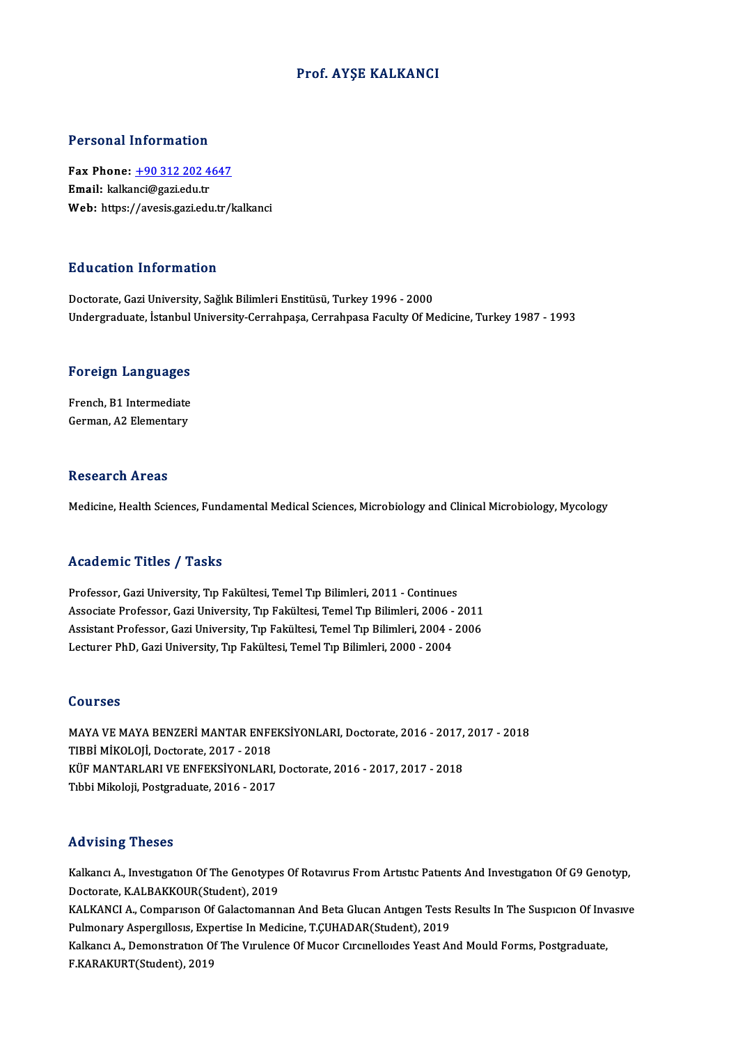### Prof. AYŞE KALKANCI

#### Personal Information

Personal Information<br>Fax Phone: <u>+90 312 202 4647</u><br>Email: kalkansi@aariedu.tr Fax Phone: <u>+90 312 202 4</u><br>Email: kalka[nci@gazi.edu.tr](tel:+90 312 202 4647)<br>Web: https://ayosis.gazi.edu.tr Email: kalkanci@gazi.edu.tr<br>Web: https://avesis.gazi.edu.tr/kalkanci

#### Education Information

Doctorate, Gazi University, Sağlık Bilimleri Enstitüsü, Turkey 1996 - 2000 Undergraduate, İstanbul University-Cerrahpaşa, Cerrahpasa Faculty Of Medicine, Turkey 1987 - 1993

# <sub>ondergraduate, istanbul</sub><br>Foreign Languages

Foreign Languages<br>French, B1 Intermediate<br>Carman A2 Elamentaru French, B1 Intermediate<br>German, A2 Elementary

#### **Research Areas**

Medicine, Health Sciences, Fundamental Medical Sciences, Microbiology and Clinical Microbiology, Mycology

### Academic Titles / Tasks

**Academic Titles / Tasks<br>Professor, Gazi University, Tıp Fakültesi, Temel Tıp Bilimleri, 2011 - Continues<br>Assesiste Professor, Cari University, Tıp Fakültesi, Temel Tıp Bilimleri, 2006, 1** -<br>Professor, Gazi University, Tıp Fakültesi, Temel Tıp Bilimleri, 2011 - Continues<br>Associate Professor, Gazi University, Tıp Fakültesi, Temel Tıp Bilimleri, 2006 - 2011<br>Assistant Brofessor, Gazi University, Tıp Fakültesi, Professor, Gazi University, Tıp Fakültesi, Temel Tıp Bilimleri, 2011 - Continues<br>Associate Professor, Gazi University, Tıp Fakültesi, Temel Tıp Bilimleri, 2006 - 2011<br>Assistant Professor, Gazi University, Tıp Fakültesi, Te Associate Professor, Gazi University, Tıp Fakültesi, Temel Tıp Bilimleri, 2006 -<br>Assistant Professor, Gazi University, Tıp Fakültesi, Temel Tıp Bilimleri, 2004 -<br>Lecturer PhD, Gazi University, Tıp Fakültesi, Temel Tıp Bili Lecturer PhD, Gazi University, Tıp Fakültesi, Temel Tıp Bilimleri, 2000 - 2004<br>Courses

Courses<br>MAYA VE MAYA BENZERİ MANTAR ENFEKSİYONLARI, Doctorate, 2016 - 2017, 2017 - 2018<br>TIRRİ MİKOLOJİ, Doctorata, 2017, ...2019 TOUTSSS<br>MAYA VE MAYA BENZERİ MANTAR ENFI<br>TIBBİ MİKOLOJİ, Doctorate, 2017 - 2018<br>KÜE MANTARI ARI VE ENEEKSİYONI ARI MAYA VE MAYA BENZERİ MANTAR ENFEKSİYONLARI, Doctorate, 2016 - 2017,<br>TIBBİ MİKOLOJİ, Doctorate, 2017 - 2018<br>KÜF MANTARLARI VE ENFEKSİYONLARI, Doctorate, 2016 - 2017, 2017 - 2018<br>Tıbbi Mikoloji, Bostaraduate, 2016 - 2017 TIBBİ MİKOLOJİ, Doctorate, 2017 - 2018<br>KÜF MANTARLARI VE ENFEKSİYONLARI, Doctorate, 2016 - 2017, 2017 - 2018<br>Tıbbi Mikoloji, Postgraduate, 2016 - 2017

#### Advising Theses

Advising Theses<br>Kalkancı A., Investıgatıon Of The Genotypes Of Rotavırus From Artıstıc Patıents And Investıgatıon Of G9 Genotyp,<br>Destarata KALBAKKOUR(Student), 2010 rea violog<br>2011 Kalkancı A., Investigation Of The Genotypes<br>Doctorate, K.ALBAKKOUR(Student), 2019<br>KALKANCLA, Gemnanisan Of Gelectemann Kalkancı A., Investigation Of The Genotypes Of Rotavirus From Artistic Patients And Investigation Of G9 Genotyp,<br>Doctorate, K.ALBAKKOUR(Student), 2019<br>KALKANCI A., Comparison Of Galactomannan And Beta Glucan Antigen Tests Doctorate, K.ALBAKKOUR(Student), 2019<br>KALKANCI A., Comparison Of Galactomannan And Beta Glucan Antigen Tests<br>Pulmonary Aspergillosis, Expertise In Medicine, T.ÇUHADAR(Student), 2019<br>Kalkang A., Demonstration Of The Virulen KALKANCI A., Comparison Of Galactomannan And Beta Glucan Antigen Tests Results In The Suspicion Of Inv<br>Pulmonary Aspergillosis, Expertise In Medicine, T.ÇUHADAR(Student), 2019<br>Kalkanci A., Demonstration Of The Virulence Of Pulmonary Aspergillosis, Expertise In Medicine, T.ÇUHADAR(Student), 2019<br>Kalkancı A., Demonstration Of The Virulence Of Mucor Circinelloides Yeast And Mould Forms, Postgraduate,<br>F.KARAKURT(Student), 2019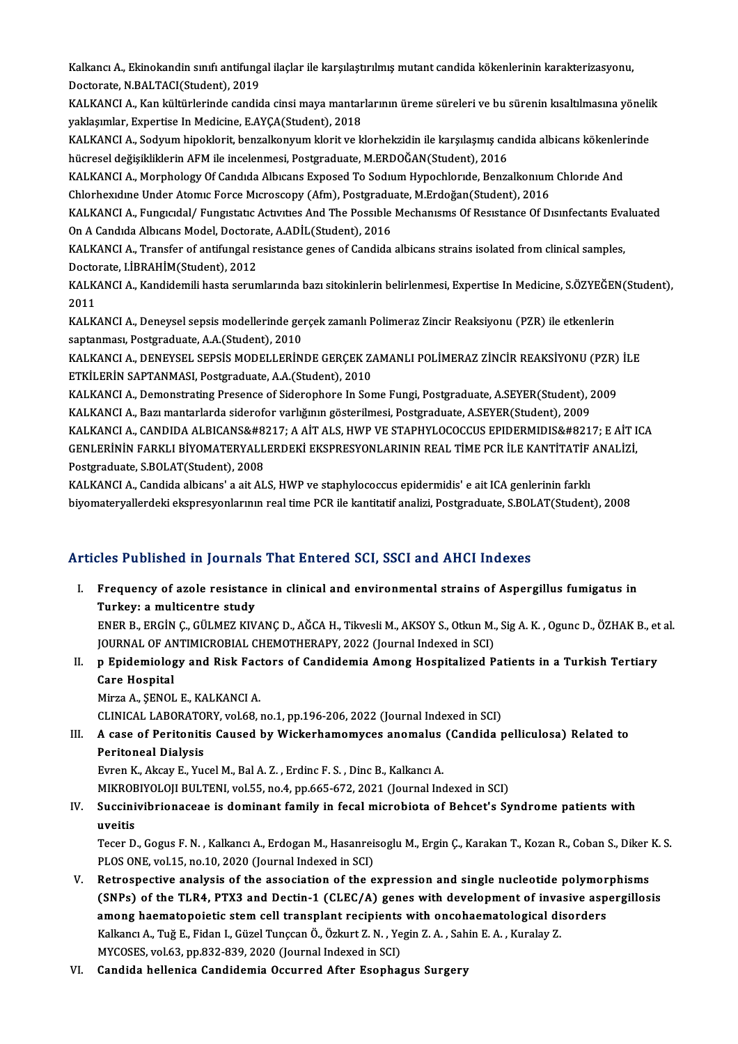Kalkancı A., Ekinokandin sınıfı antifungal ilaçlar ile karşılaştırılmış mutant candida kökenlerinin karakterizasyonu,<br>Destarata N RALTACI(Student), 2019 Kalkancı A., Ekinokandin sınıfı antifung<br>Doctorate, N.BALTACI(Student), 2019<br>KALKANCLA, Kan kültürlerinde sandid Kalkancı A., Ekinokandin sınıfı antifungal ilaçlar ile karşılaştırılmış mutant candida kökenlerinin karakterizasyonu,<br>Doctorate, N.BALTACI(Student), 2019<br>KALKANCI A., Kan kültürlerinde candida cinsi maya mantarlarının ürem

Doctorate, N.BALTACI(Student), 2019<br>KALKANCI A., Kan kültürlerinde candida cinsi maya mantarlarının üreme süreleri ve bu sürenin kısaltılmasına yönelik<br>yaklaşımlar, Expertise In Medicine, E.AYÇA(Student), 2018 KALKANCI A., Kan kültürlerinde candida cinsi maya mantarlarının üreme süreleri ve bu sürenin kısaltılmasına yöneli<br>yaklaşımlar, Expertise In Medicine, E.AYÇA(Student), 2018<br>KALKANCI A., Sodyum hipoklorit, benzalkonyum klor

yaklaşımlar, Expertise In Medicine, E.AYÇA(Student), 2018<br>KALKANCI A., Sodyum hipoklorit, benzalkonyum klorit ve klorhekzidin ile karşılaşmış caı<br>hücresel değişikliklerin AFM ile incelenmesi, Postgraduate, M.ERDOĞAN(Studen KALKANCI A., Sodyum hipoklorit, benzalkonyum klorit ve klorhekzidin ile karşılaşmış candida albicans kökenler<br>hücresel değişikliklerin AFM ile incelenmesi, Postgraduate, M.ERDOĞAN(Student), 2016<br>KALKANCI A., Morphology Of

hücresel değişikliklerin AFM ile incelenmesi, Postgraduate, M.ERDOĞAN(Student), 2016<br>KALKANCI A., Morphology Of Candıda Albıcans Exposed To Sodıum Hypochloride, Benzalkonium<br>Chlorhexidine Under Atomic Force Microscopy (Afm KALKANCI A., Morphology Of Candıda Albıcans Exposed To Sodium Hypochloride, Benzalkonium Chloride And<br>Chlorhexidine Under Atomic Force Microscopy (Afm), Postgraduate, M.Erdoğan(Student), 2016<br>KALKANCI A., Fungicidal/ Fungi

Chlorhexidine Under Atomic Force Microscopy (Afm), Postgraduate, M.Erdoğan(Student), 2016<br>KALKANCI A., Fungicidal/ Fungistatic Activities And The Possible Mechanisms Of Resistance Of Disinfectants Evaluated<br>On A Candida Al

KALKANCI A., Transfer of antifungal resistance genes of Candida albicans strains isolated from clinical samples, On A Candıda Albıcans Model, Doctora<br>KALKANCI A., Transfer of antifungal re<br>Doctorate, I.İBRAHİM(Student), 2012<br>KALKANCI A. Kandidemili basta senun KALKANCI A., Transfer of antifungal resistance genes of Candida albicans strains isolated from clinical samples,<br>Doctorate, I.İBRAHİM(Student), 2012<br>KALKANCI A., Kandidemili hasta serumlarında bazı sitokinlerin belirlenmes

Docto<br>KALK<br>2011<br>KALK KALKANCI A., Kandidemili hasta serumlarında bazı sitokinlerin belirlenmesi, Expertise In Medicine, S.ÖZYEĞEN<br>2011<br>KALKANCI A., Deneysel sepsis modellerinde gerçek zamanlı Polimeraz Zincir Reaksiyonu (PZR) ile etkenlerin<br>sa

2011<br>KALKANCI A., Deneysel sepsis modellerinde gerçek zamanlı Polimeraz Zincir Reaksiyonu (PZR) ile etkenlerin<br>saptanması, Postgraduate, A.A.(Student), 2010 KALKANCI A., Deneysel sepsis modellerinde gerçek zamanlı Polimeraz Zincir Reaksiyonu (PZR) ile etkenlerin<br>saptanması, Postgraduate, A.A.(Student), 2010<br>KALKANCI A., DENEYSEL SEPSİS MODELLERİNDE GERÇEK ZAMANLI POLİMERAZ ZİN

saptanması, Postgraduate, A.A.(Student), 2010<br>KALKANCI A., DENEYSEL SEPSİS MODELLERİNDE GERÇEK Z*I*<br>ETKİLERİN SAPTANMASI, Postgraduate, A.A.(Student), 2010<br>KALKANCI A. Demonstrating Presense of Siderenhare In Ser KALKANCI A., DENEYSEL SEPSIS MODELLERINDE GERÇEK ZAMANLI POLIMERAZ ZINCIR REAKSIYONU (PZR)<br>ETKILERIN SAPTANMASI, Postgraduate, A.A.(Student), 2010<br>KALKANCI A., Demonstrating Presence of Siderophore In Some Fungi, Postgradu

ETKİLERİN SAPTANMASI, Postgraduate, A.A.(Student), 2010<br>KALKANCI A., Demonstrating Presence of Siderophore In Some Fungi, Postgraduate, A.SEYER(Student), 2009<br>KALKANCI A., Bazı mantarlarda siderofor varlığının gösterilmesi KALKANCI A., Demonstrating Presence of Siderophore In Some Fungi, Postgraduate, A.SEYER(Student), 2009<br>KALKANCI A., Bazı mantarlarda siderofor varlığının gösterilmesi, Postgraduate, A.SEYER(Student), 2009<br>KALKANCI A., CAND KALKANCI A., Bazı mantarlarda siderofor varlığının gösterilmesi, Postgraduate, A.SEYER(Student), 2009<br>KALKANCI A., CANDIDA ALBICANS&#8217; A AİT ALS, HWP VE STAPHYLOCOCCUS EPIDERMIDIS&#8217; E AİT I<br>GENLERİNİN FARKLI BİYOM

KALKANCI A., CANDIDA ALBICANS&#8.<br>GENLERININ FARKLI BIYOMATERYALL<br>Postgraduate, S.BOLAT(Student), 2008<br>KALKANCLA, Candida albicans' a ait AL GENLERİNİN FARKLI BİYOMATERYALLERDEKİ EKSPRESYONLARININ REAL TİME PCR İLE KANTİTATİF ANALİZİ,<br>Postgraduate, S.BOLAT(Student), 2008<br>KALKANCI A., Candida albicans' a ait ALS, HWP ve staphylococcus epidermidis' e ait ICA genl

biyomateryallerdeki ekspresyonlarının real time PCR ile kantitatif analizi, Postgraduate, S.BOLAT(Student), 2008

### Articles Published in Journals That Entered SCI, SSCI and AHCI Indexes

rticles Published in Journals That Entered SCI, SSCI and AHCI Indexes<br>I. Frequency of azole resistance in clinical and environmental strains of Aspergillus fumigatus in<br>Turkey: a multisentre study The Turkey: a multicentre study<br>Turkey: a multicentre study<br>ENED B. EDGIN C. CULMEZ VIV Frequency of azole resistance in clinical and environmental strains of Aspergillus fumigatus in<br>Turkey: a multicentre study<br>ENER B., ERGİN Ç., GÜLMEZ KIVANÇ D., AĞCA H., Tikvesli M., AKSOY S., Otkun M., Sig A. K. , Ogunc D

Turkey: a multicentre study<br>ENER B., ERGİN Ç., GÜLMEZ KIVANÇ D., AĞCA H., Tikvesli M., AKSOY S., Otkun M., Sig A. K. , Ogunc D., ÖZHAK B., et al.<br>JOURNAL OF ANTIMICROBIAL CHEMOTHERAPY, 2022 (Journal Indexed in SCI) ENER B., ERGİN Ç., GÜLMEZ KIVANÇ D., AĞCA H., Tikvesli M., AKSOY S., Otkun M., Sig A. K. , Ogunc D., ÖZHAK B., et<br>JOURNAL OF ANTIMICROBIAL CHEMOTHERAPY, 2022 (Journal Indexed in SCI)<br>II. p Epidemiology and Risk Factors of

JOURNAL OF AN<br>p Epidemiolog<br>Care Hospital<br>Mirre A SENOL Care Hospital<br>Mirza A., ŞENOL E., KALKANCI A.

CLINICAL LABORATORY, vol.68, no.1, pp.196-206, 2022 (Journal Indexed in SCI)

# Mirza A., ŞENOL E., KALKANCI A.<br>CLINICAL LABORATORY, vol.68, no.1, pp.196-206, 2022 (Journal Indexed in SCI)<br>III. A case of Peritonitis Caused by Wickerhamomyces anomalus (Candida pelliculosa) Related to<br>Peritoneal Dia A case of Peritonitis Caused by Wickerhamomyces anomalus<br>Peritoneal Dialysis<br>Evren K., Akcay E., Yucel M., Bal A. Z. , Erdinc F. S. , Dinc B., Kalkancı A.<br>MIKRORIYOLOU BULTENL vel 55 no.4 np 665 672-2021 (Journal Inc

Peritoneal Dialysis<br>Evren K., Akcay E., Yucel M., Bal A. Z., Erdinc F. S., Dinc B., Kalkancı A. Peritoneal Dialysis<br>Evren K., Akcay E., Yucel M., Bal A. Z. , Erdinc F. S. , Dinc B., Kalkancı A.<br>MIKROBIYOLOJI BULTENI, vol.55, no.4, pp.665-672, 2021 (Journal Indexed in SCI)<br>Suesinivibrianassas is dominant family in fos

## IV. Succinivibrionaceae is dominant family in fecalmicrobiota of Behcet's Syndrome patients with MIKROE<br>Succini<br>uveitis<br>Teser D

TecerD.,Gogus F.N. ,KalkancıA.,ErdoganM.,HasanreisogluM.,ErginÇ.,KarakanT.,KozanR.,CobanS.,DikerK.S. PLOS ONE, vol.15, no.10, 2020 (Journal Indexed in SCI)

- V. Retrospective analysis of the association of the expression and single nucleotide polymorphisms PLOS ONE, vol.15, no.10, 2020 (Journal Indexed in SCI)<br>Retrospective analysis of the association of the expression and single nucleotide polymorphisms<br>(SNPs) of the TLR4, PTX3 and Dectin-1 (CLEC/A) genes with development o Retrospective analysis of the association of the expression and single nucleotide polymor<br>(SNPs) of the TLR4, PTX3 and Dectin-1 (CLEC/A) genes with development of invasive asp<br>among haematopoietic stem cell transplant reci (SNPs) of the TLR4, PTX3 and Dectin-1 (CLEC/A) genes with development of inva<br>among haematopoietic stem cell transplant recipients with oncohaematological di<br>Kalkancı A., Tuğ E., Fidan I., Güzel Tunçcan Ö., Özkurt Z. N. , among haematopoietic stem cell transplant recipients with oncohaematological disorders<br>Kalkancı A., Tuğ E., Fidan I., Güzel Tunçcan Ö., Özkurt Z. N. , Yegin Z. A. , Sahin E. A. , Kuralay Z.<br>MYCOSES, vol.63, pp.832-839, 202
- VI. Candida hellenica Candidemia Occurred After Esophagus Surgery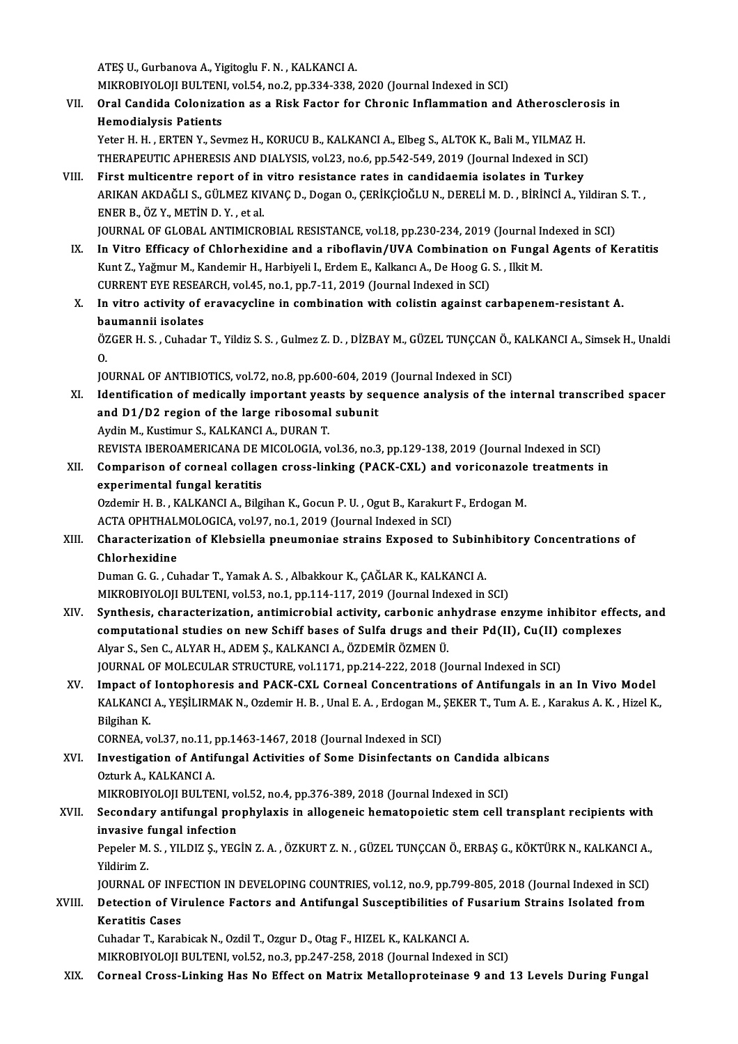ATEŞU.,GurbanovaA.,Yigitoglu F.N. ,KALKANCIA.

MIKROBIYOLOJI BULTENI, vol.54, no.2, pp.334-338, 2020 (Journal Indexed in SCI)

ATEȘ U., Gurbanova A., Yigitoglu F. N. , KALKANCI A.<br>MIKROBIYOLOJI BULTENI, vol.54, no.2, pp.334-338, 2020 (Journal Indexed in SCI)<br>VII. Oral Candida Colonization as a Risk Factor for Chronic Inflammation and Atheroscl MIKROBIYOLOJI BULTEN<br>Oral Candida Colonizat<br>Hemodialysis Patients<br><sup>Voton H.</sup> H. EBTEN V. Sex Oral Candida Colonization as a Risk Factor for Chronic Inflammation and Atherosclerc<br>Hemodialysis Patients<br>Yeter H. H., ERTEN Y., Sevmez H., KORUCU B., KALKANCI A., Elbeg S., ALTOK K., Bali M., YILMAZ H.<br>THEDAPELITIC APHER

Hemodialysis Patients<br>Yeter H. H. , ERTEN Y., Sevmez H., KORUCU B., KALKANCI A., Elbeg S., ALTOK K., Bali M., YILMAZ H.<br>THERAPEUTIC APHERESIS AND DIALYSIS, vol.23, no.6, pp.542-549, 2019 (Journal Indexed in SCI) Yeter H. H., ERTEN Y., Sevmez H., KORUCU B., KALKANCI A., Elbeg S., ALTOK K., Bali M., YILMAZ H.<br>THERAPEUTIC APHERESIS AND DIALYSIS, vol.23, no.6, pp.542-549, 2019 (Journal Indexed in SCI)<br>VIII. First multicentre report of

ARIKAN AKDAĞLI S., GÜLMEZ KIVANÇ D., Dogan O., ÇERİKÇİOĞLU N., DERELİ M. D. , BİRİNCİ A., Yildiran S. T. ,<br>ENER B., ÖZ Y., METİN D. Y. . et al. First multicentre report of in<br>ARIKAN AKDAĞLI S., GÜLMEZ KI\<br>ENER B., ÖZ Y., METİN D. Y. , et al.<br>JOUPMAL OE CLOBAL ANTIMICRO ARIKAN AKDAĞLI S., GÜLMEZ KIVANÇ D., Dogan O., ÇERİKÇİOĞLU N., DERELİ M. D. , BİRİNCİ A., Yildiran<br>ENER B., ÖZ Y., METİN D. Y. , et al.<br>JOURNAL OF GLOBAL ANTIMICROBIAL RESISTANCE, vol.18, pp.230-234, 2019 (Journal Indexed

- ENER B., ÖZ Y., METİN D. Y. , et al.<br>JOURNAL OF GLOBAL ANTIMICROBIAL RESISTANCE, vol.18, pp.230-234, 2019 (Journal Indexed in SCI)<br>IX. In Vitro Efficacy of Chlorhexidine and a riboflavin/UVA Combination on Fungal Agents of JOURNAL OF GLOBAL ANTIMICROBIAL RESISTANCE, vol.18, pp.230-234, 2019 (Journal I.<br>In Vitro Efficacy of Chlorhexidine and a riboflavin/UVA Combination on Funga<br>Kunt Z., Yağmur M., Kandemir H., Harbiyeli I., Erdem E., Kalkanc In Vitro Efficacy of Chlorhexidine and a riboflavin/UVA Combination<br>Kunt Z., Yağmur M., Kandemir H., Harbiyeli I., Erdem E., Kalkancı A., De Hoog G.<br>CURRENT EYE RESEARCH, vol.45, no.1, pp.7-11, 2019 (Journal Indexed in SCI Kunt Z., Yağmur M., Kandemir H., Harbiyeli I., Erdem E., Kalkancı A., De Hoog G. S. , Ilkit M.<br>CURRENT EYE RESEARCH, vol.45, no.1, pp.7-11, 2019 (Journal Indexed in SCI)<br>X. In vitro activity of eravacycline in combination
- CURRENT EYE RESEA<br>In vitro activity of explored<br>baumannii isolates<br>ÖZCEP H S. Cubeder In vitro activity of eravacycline in combination with colistin against carbapenem-resistant A.<br>baumannii isolates<br>ÖZGER H. S. , Cuhadar T., Yildiz S. S. , Gulmez Z. D. , DİZBAY M., GÜZEL TUNÇCAN Ö., KALKANCI A., Simsek H.,

ba<br>ÖZ<br>IO. ÖZGER H. S. , Cuhadar T., Yildiz S. S. , Gulmez Z. D. , DİZBAY M., GÜZEL TUNÇCAN Ö., .<br>O.<br>JOURNAL OF ANTIBIOTICS, vol.72, no.8, pp.600-604, 2019 (Journal Indexed in SCI)<br>Identification of modically important yearts by sequ

- 0.<br>JOURNAL OF ANTIBIOTICS, vol.72, no.8, pp.600-604, 2019 (Journal Indexed in SCI)<br>XI. Identification of medically important yeasts by sequence analysis of the internal transcribed spacer<br>and D1/D2 pegion of the large ribo JOURNAL OF ANTIBIOTICS, vol.72, no.8, pp.600-604, 201<br>Identification of medically important yeasts by see<br>and D1/D2 region of the large ribosomal subunit<br>Ardin M. Kustimur S. KALKANCLA, DURANT Identification of medically important yea:<br>and D1/D2 region of the large ribosomal<br>Aydin M., Kustimur S., KALKANCI A., DURAN T.<br>PEVISTA IPEROAMERICANA DE MICOLOCIA. v and D1/D2 region of the large ribosomal subunit<br>Aydin M., Kustimur S., KALKANCI A., DURAN T.<br>REVISTA IBEROAMERICANA DE MICOLOGIA, vol.36, no.3, pp.129-138, 2019 (Journal Indexed in SCI) Aydin M., Kustimur S., KALKANCI A., DURAN T.<br>REVISTA IBEROAMERICANA DE MICOLOGIA, vol.36, no.3, pp.129-138, 2019 (Journal Indexed in SCI)<br>XII. Comparison of corneal collagen cross-linking (PACK-CXL) and voriconazole treatm
- REVISTA IBEROAMERICANA DE N<br>Comparison of corneal collag<br>experimental fungal keratitis<br>Ordomir H P KALKANCLA Bilgi Comparison of corneal collagen cross-linking (PACK-CXL) and voriconazole<br>experimental fungal keratitis<br>Ozdemir H. B. , KALKANCI A., Bilgihan K., Gocun P. U. , Ogut B., Karakurt F., Erdogan M.<br>ACTA OPHTHALMOLOCICA .vol.97, experimental fungal keratitis<br>Ozdemir H. B. , KALKANCI A., Bilgihan K., Gocun P. U. , Ogut B., Karakurt F., Erdogan M.

ACTA OPHTHALMOLOGICA, vol.97, no.1, 2019 (Journal Indexed in SCI)

XIII. Characterization of Klebsiella pneumoniae strains Exposed to Subinhibitory Concentrations of<br>Chlorhexidine Characterization of Klebsiella pneumoniae strains Exposed to Subinh<br>Chlorhexidine<br>Duman G. G. , Cuhadar T., Yamak A. S. , Albakkour K., ÇAĞLAR K., KALKANCI A.<br>MIKRORIXOLOU RULTENL vel 52. no.1. np.114.117.2019 (Journal Ind

Chlorhexidine<br>Duman G. G. , Cuhadar T., Yamak A. S. , Albakkour K., ÇAĞLAR K., KALKANCI A.<br>MIKROBIYOLOJI BULTENI, vol.53, no.1, pp.114-117, 2019 (Journal Indexed in SCI)<br>Synthesis, sharastarization, antimisrabial astivity,

- MIKROBIYOLOJI BULTENI, vol.53, no.1, pp.114-117, 2019 (Journal Indexed in SCI)<br>XIV. Synthesis, characterization, antimicrobial activity, carbonic anhydrase enzyme inhibitor effects, and MIKROBIYOLOJI BULTENI, vol.53, no.1, pp.114-117, 2019 (Journal Indexed in SCI)<br>Synthesis, characterization, antimicrobial activity, carbonic anhydrase enzyme inhibitor effeq<br>computational studies on new Schiff bases of Sul Synthesis, characterization, antimicrobial activity, carbonic an<br>computational studies on new Schiff bases of Sulfa drugs and<br>Alyar S., Sen C., ALYAR H., ADEM Ş., KALKANCI A., ÖZDEMİR ÖZMEN Ü.<br>JOUPMAL OE MOLECULAR STRUCTUR computational studies on new Schiff bases of Sulfa drugs and their Pd(II), Cu(II)<br>Alyar S., Sen C., ALYAR H., ADEM Ş., KALKANCI A., ÖZDEMİR ÖZMEN Ü.<br>JOURNAL OF MOLECULAR STRUCTURE, vol.1171, pp.214-222, 2018 (Journal Index Alyar S., Sen C., ALYAR H., ADEM Ş., KALKANCI A., ÖZDEMİR ÖZMEN Ü.<br>JOURNAL OF MOLECULAR STRUCTURE, vol.1171, pp.214-222, 2018 (Journal Indexed in SCI)<br>XV. Impact of Iontophoresis and PACK-CXL Corneal Concentrations of Anti
- JOURNAL OF MOLECULAR STRUCTURE, vol.1171, pp.214-222, 2018 (Journal Indexed in SCI)<br>Impact of Iontophoresis and PACK-CXL Corneal Concentrations of Antifungals in an In Vivo Model<br>KALKANCI A., YEŞİLIRMAK N., Ozdemir H. B. , Impact of<br>KALKANCI<br>Bilgihan K.<br>COPNEA v KALKANCI A., YEŞİLIRMAK N., Ozdemir H. B. , Unal E. A. , Erdogan M., .<br>Bilgihan K.<br>CORNEA, vol.37, no.11, pp.1463-1467, 2018 (Journal Indexed in SCI)<br>Investigation of Antifungal Activities of Some Disinfectants of

Bilgihan K.<br>CORNEA, vol.37, no.11, pp.1463-1467, 2018 (Journal Indexed in SCI)<br>XVI. Investigation of Antifungal Activities of Some Disinfectants on Candida albicans<br>Ozturk A., KALKANCI A. CORNEA, vol.37, no.11, p<br>Investigation of Antif<br>Ozturk A., KALKANCI A.<br>MIKRORIVOLOU RIJ TE

MIKROBIYOLOJI BULTENI, vol.52, no.4, pp.376-389, 2018 (Journal Indexed in SCI)

## Ozturk A., KALKANCI A.<br>MIKROBIYOLOJI BULTENI, vol.52, no.4, pp.376-389, 2018 (Journal Indexed in SCI)<br>XVII. Secondary antifungal prophylaxis in allogeneic hematopoietic stem cell transplant recipients with<br>invesive fungal MIKROBIYOLOJI BULTENI, ve<br>Secondary antifungal pro<br>invasive fungal infection<br>Peneler M.S., VII DIZ S. VEC Secondary antifungal prophylaxis in allogeneic hematopoietic stem cell transplant recipients with<br>invasive fungal infection<br>Pepeler M.S., YILDIZ Ş., YEGİN Z.A., ÖZKURT Z.N., GÜZEL TUNÇCAN Ö., ERBAŞ G., KÖKTÜRK N., KALKANCI

i<mark>nvasive f</mark><br>Pepeler M.<br>Yildirim Z.<br>JOUPNAL 6 Pepeler M. S. , YILDIZ Ș., YEGİN Z. A. , ÖZKURT Z. N. , GÜZEL TUNÇCAN Ö., ERBAŞ G., KÖKTÜRK N., KALKANCI A.,<br>Yildirim Z.<br>JOURNAL OF INFECTION IN DEVELOPING COUNTRIES, vol.12, no.9, pp.799-805, 2018 (Journal Indexed in SCI)

## Yildirim Z.<br>JOURNAL OF INFECTION IN DEVELOPING COUNTRIES, vol.12, no.9, pp.799-805, 2018 (Journal Indexed in SCI)<br>XVIII. Detection of Virulence Factors and Antifungal Susceptibilities of Fusarium Strains Isolated from<br> JOURNAL OF INFECTION IN DEVELOPING COUNTRIES, vol.12, no.9, pp.799-805, 2018 (Journal Indexed in SCI)<br>Detection of Virulence Factors and Antifungal Susceptibilities of Fusarium Strains Isolated from<br>Keratitis Cases<br>Cuhadar Detection of Virulence Factors and Antifungal Susceptibilities of I<br>Keratitis Cases<br>Cuhadar T., Karabicak N., Ozdil T., Ozgur D., Otag F., HIZEL K., KALKANCI A.<br>MIKROPIXOLOU PULTENL vel 52, no 2, np 247, 259, 2018 (Journal

MIKROBIYOLOJI BULTENI, vol.52, no.3, pp.247-258, 2018 (Journal Indexed in SCI)

XIX. Corneal Cross-Linking Has No Effect on Matrix Metalloproteinase 9 and 13 Levels During Fungal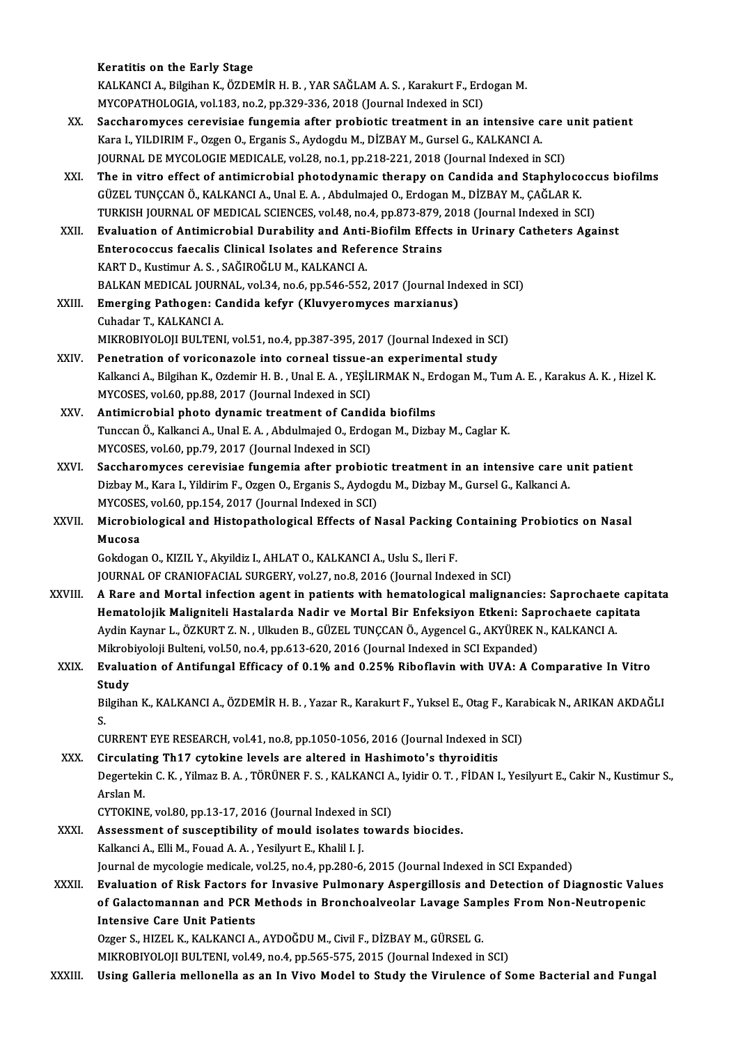#### Keratitis on the Early Stage

Keratitis on the Early Stage<br>KALKANCI A., Bilgihan K., ÖZDEMİR H. B. , YAR SAĞLAM A. S. , Karakurt F., Erdogan M.<br>MYCORATHOLOGLA YR 193 no 2 nn 339 336 3918 (Journal Indoved in SCI) Keratitis on the Early Stage<br>KALKANCI A., Bilgihan K., ÖZDEMİR H. B. , YAR SAĞLAM A. S. , Karakurt F., Erd<br>MYCOPATHOLOGIA, vol.183, no.2, pp.329-336, 2018 (Journal Indexed in SCI)<br>Sessharemyses senevisies fungemia aftar pr

- KALKANCI A., Bilgihan K., ÖZDEMİR H. B. , YAR SAĞLAM A. S. , Karakurt F., Erdogan M.<br>MYCOPATHOLOGIA, vol.183, no.2, pp.329-336, 2018 (Journal Indexed in SCI)<br>XX. Saccharomyces cerevisiae fungemia after probiotic treatment MYCOPATHOLOGIA, vol.183, no.2, pp.329-336, 2018 (Journal Indexed in SCI)<br>Saccharomyces cerevisiae fungemia after probiotic treatment in an intensive c<br>Kara I., YILDIRIM F., Ozgen O., Erganis S., Aydogdu M., DİZBAY M., Gurs Saccharomyces cerevisiae fungemia after probiotic treatment in an intensive care<br>Kara I., YILDIRIM F., Ozgen O., Erganis S., Aydogdu M., DİZBAY M., Gursel G., KALKANCI A.<br>JOURNAL DE MYCOLOGIE MEDICALE, vol.28, no.1, pp.218 Kara I., YILDIRIM F., Ozgen O., Erganis S., Aydogdu M., DİZBAY M., Gursel G., KALKANCI A.<br>JOURNAL DE MYCOLOGIE MEDICALE, vol.28, no.1, pp.218-221, 2018 (Journal Indexed in SCI)<br>XXI. The in vitro effect of antimicrobial pho
- JOURNAL DE MYCOLOGIE MEDICALE, vol.28, no.1, pp.218-221, 2018 (Journal Indexed in SCI)<br>The in vitro effect of antimicrobial photodynamic therapy on Candida and Staphyloco<br>GÜZEL TUNÇCAN Ö., KALKANCI A., Unal E. A. , Abdulma The in vitro effect of antimicrobial photodynamic therapy on Candida and Staphylococci<br>GÜZEL TUNÇCAN Ö., KALKANCI A., Unal E. A. , Abdulmajed O., Erdogan M., DİZBAY M., ÇAĞLAR K.<br>TURKISH JOURNAL OF MEDICAL SCIENCES, vol.48 GÜZEL TUNÇCAN Ö., KALKANCI A., Unal E. A. , Abdulmajed O., Erdogan M., DİZBAY M., ÇAĞLAR K.<br>TURKISH JOURNAL OF MEDICAL SCIENCES, vol.48, no.4, pp.873-879, 2018 (Journal Indexed in SCI)<br>XXII. Evaluation of Antimicrobial Dur
- TURKISH JOURNAL OF MEDICAL SCIENCES, vol.48, no.4, pp.873-879, 2018 (Journal Indexed in SCI)<br>Evaluation of Antimicrobial Durability and Anti-Biofilm Effects in Urinary Catheters Aga<br>Enterococcus faecalis Clinical Isolates Evaluation of Antimicrobial Durability and Anti-<br>Enterococcus faecalis Clinical Isolates and Refer<br>KART D., Kustimur A.S., SAĞIROĞLUM., KALKANCI A.<br>PALKAN MEDICAL IQUPNAL, vol 34 no 6 np 546 552 BALKAN MEDICAL JOURNAL, vol.34, no.6, pp.546-552, 2017 (Journal Indexed in SCI)
- KART D., Kustimur A. S. , SAĞIROĞLU M., KALKANCI A.<br>BALKAN MEDICAL JOURNAL, vol.34, no.6, pp.546-552, 2017 (Journal Inc<br>XXIII. Emerging Pathogen: Candida kefyr (Kluvyeromyces marxianus)<br>Cubedar T. KALKANCLA BALKAN MEDICAL JOURN<br><mark>Emerging Pathogen: Calladar T., KALKANCI A.</mark><br>MIKROPIYOLOU PULTEN! Cuhadar T., KALKANCI A.<br>MIKROBIYOLOJI BULTENI, vol.51, no.4, pp.387-395, 2017 (Journal Indexed in SCI)

- XXIV. Penetration of voriconazole into corneal tissue-an experimental study Kalkanci A., Bilgihan K., Ozdemir H. B., Unal E. A., YESİLIRMAK N., Erdogan M., Tum A. E., Karakus A. K., Hizel K. MYCOSES, vol.60, pp.88, 2017 (Journal Indexed in SCI) Kalkanci A., Bilgihan K., Ozdemir H. B., Unal E. A., YEŞİLIRMAK N., Er<br>MYCOSES, vol.60, pp.88, 2017 (Journal Indexed in SCI)<br>XXV. Antimicrobial photo dynamic treatment of Candida biofilms<br>Tunggan Ö. Kalkangi A., Unal E. A.
- Tunccan Ö., Kalkanci A., Unal E. A., Abdulmajed O., Erdogan M., Dizbay M., Caglar K.<br>MYCOSES, vol.60, pp.79, 2017 (Journal Indexed in SCI) Antimicrobial photo dynamic treatment of Candi<br>Tunccan Ö., Kalkanci A., Unal E. A. , Abdulmajed O., Erdo<br>MYCOSES, vol.60, pp.79, 2017 (Journal Indexed in SCI)<br>Sassharomuses, serevisiae fungemia after probie Tunccan Ö., Kalkanci A., Unal E. A., Abdulmajed O., Erdogan M., Dizbay M., Caglar K.<br>MYCOSES, vol.60, pp.79, 2017 (Journal Indexed in SCI)<br>XXVI. Saccharomyces cerevisiae fungemia after probiotic treatment in an intensive c
- MYCOSES, vol.60, pp.79, 2017 (Journal Indexed in SCI)<br>Saccharomyces cerevisiae fungemia after probiotic treatment in an intensive care u<br>Dizbay M., Kara I., Yildirim F., Ozgen O., Erganis S., Aydogdu M., Dizbay M., Gursel Saccharomyces cerevisiae fungemia after probioti<br>Dizbay M., Kara I., Yildirim F., Ozgen O., Erganis S., Aydog<br>MYCOSES, vol.60, pp.154, 2017 (Journal Indexed in SCI)<br>Microbiological and Histopathological Effects of N Dizbay M., Kara I., Yildirim F., Ozgen O., Erganis S., Aydogdu M., Dizbay M., Gursel G., Kalkanci A.<br>MYCOSES, vol.60, pp.154, 2017 (Journal Indexed in SCI)<br>XXVII. Microbiological and Histopathological Effects of Nasal Pack
- MYCOSES, vol.60, pp.154, 2017 (Journal Indexed in SCI)<br>Microbiological and Histopathological Effects of Nasal Packing (<br>Mucosa<br>Gokdogan O., KIZIL Y., Akyildiz I., AHLAT O., KALKANCI A., Uslu S., Ileri F. Microbiological and Histopathological Effects of Nasal Packing (<br>Mucosa<br>Gokdogan O., KIZIL Y., Akyildiz I., AHLAT O., KALKANCI A., Uslu S., Ileri F.<br>JOUPMAL OE CRANIQEACIAL SURCERY .vol.27, no.8, 2016 (Journal Indo

JOURNAL OF CRANIOFACIAL SURGERY, vol.27, no.8, 2016 (Journal Indexed in SCI)

- Gokdogan O., KIZIL Y., Akyildiz I., AHLAT O., KALKANCI A., Uslu S., Ileri F.<br>JOURNAL OF CRANIOFACIAL SURGERY, vol.27, no.8, 2016 (Journal Indexed in SCI)<br>XXVIII. A Rare and Mortal infection agent in patients with hematolog JOURNAL OF CRANIOFACIAL SURGERY, vol.27, no.8, 2016 (Journal Indexed in SCI)<br>A Rare and Mortal infection agent in patients with hematological malignancies: Saprochaete cap<br>Hematolojik Maligniteli Hastalarda Nadir ve Mortal A Rare and Mortal infection agent in patients with hematological malignancies: Saprochaete<br>Hematolojik Maligniteli Hastalarda Nadir ve Mortal Bir Enfeksiyon Etkeni: Saprochaete capi<br>Aydin Kaynar L., ÖZKURT Z. N. , Ulkuden Hematolojik Maligniteli Hastalarda Nadir ve Mortal Bir Enfeksiyon Etkeni: Sap<br>Aydin Kaynar L., ÖZKURT Z. N. , Ulkuden B., GÜZEL TUNÇCAN Ö., Aygencel G., AKYÜREK N<br>Mikrobiyoloji Bulteni, vol.50, no.4, pp.613-620, 2016 (Jour Aydin Kaynar L., ÖZKURT Z. N. , Ulkuden B., GÜZEL TUNÇCAN Ö., Aygencel G., AKYÜREK N., KALKANCI A.<br>Mikrobiyoloji Bulteni, vol.50, no.4, pp.613-620, 2016 (Journal Indexed in SCI Expanded)<br>XXIX. Evaluation of Antifungal
- Mikrobiyoloji Bulteni, vol.50, no.4, pp.613-620, 2016 (Journal Indexed in SCI Expanded)<br>Evaluation of Antifungal Efficacy of 0.1% and 0.25% Riboflavin with UVA: A Comparative In Vitro<br>Study<br>Bilgihan K., KALKANCI A., ÖZDEMİ Evaluation of Antifungal Efficacy of 0.1% and 0.25% Riboflavin with UVA: A Comparative In Vitro<br>Study<br>Bilgihan K., KALKANCI A., ÖZDEMİR H. B. , Yazar R., Karakurt F., Yuksel E., Otag F., Karabicak N., ARIKAN AKDAĞ<br>S.

St<br>Bi<br>CI Bilgihan K., KALKANCI A., ÖZDEMİR H. B. , Yazar R., Karakurt F., Yuksel E., Otag F., Kara<br>S.<br>CURRENT EYE RESEARCH, vol.41, no.8, pp.1050-1056, 2016 (Journal Indexed in SCI)<br>Circulating Th17, cutokine levels are altered in

- S.<br>CURRENT EYE RESEARCH, vol.41, no.8, pp.1050-1056, 2016 (Journal Indexed in<br>XXX. Circulating Th17 cytokine levels are altered in Hashimoto's thyroiditis<br>Desertekin C.K., Xilmas B.A., TÖDÜNER E.S., KALKANCLA, Ividir O.T., Degertekin C. K. , Yilmaz B. A. , TÖRÜNER F. S. , KALKANCI A., Iyidir O. T. , FİDAN I., Yesilyurt E., Cakir N., Kustimur S.,<br>Arslan M. Circulating Th17 cytokine levels are altered in Hashimoto's thyroiditis Degertekin C. K. , Yilmaz B. A. , TÖRÜNER F. S. , KALKANCI A<br>Arslan M.<br>CYTOKINE, vol.80, pp.13-17, 2016 (Journal Indexed in SCI)<br>Assessment of sussentibility of mould isolates tower
- XXXI. Assessment of susceptibility of mould isolates towards biocides.<br>Kalkanci A., Elli M., Fouad A. A., Yesilyurt E., Khalil I. J. CYTOKINE, vol.80, pp.13-17, 2016 (Journal Indexed in<br>Assessment of susceptibility of mould isolates<br>Kalkanci A., Elli M., Fouad A. A. , Yesilyurt E., Khalil I. J.<br>Journal de muselegie modiable vel 35, no 4, nn 380, 6 Journal de mycologie medicale, vol.25, no.4, pp.280-6, 2015 (Journal Indexed in SCI Expanded) Kalkanci A., Elli M., Fouad A. A. , Yesilyurt E., Khalil I. J.<br>Journal de mycologie medicale, vol.25, no.4, pp.280-6, 2015 (Journal Indexed in SCI Expanded)<br>XXXII. Evaluation of Risk Factors for Invasive Pulmonary Aspe

Journal de mycologie medicale, vol.25, no.4, pp.280-6, 2015 (Journal Indexed in SCI Expanded)<br>Evaluation of Risk Factors for Invasive Pulmonary Aspergillosis and Detection of Diagnostic Valu<br>of Galactomannan and PCR Method Evaluation of Risk Factors fo<br>of Galactomannan and PCR M<br>Intensive Care Unit Patients<br>Orger S, H17EL V, VALVANCLA of Galactomannan and PCR Methods in Bronchoalveolar Lavage Samples From Non-Neutropenic<br>Intensive Care Unit Patients<br>Ozger S., HIZEL K., KALKANCI A., AYDOĞDU M., Civil F., DİZBAY M., GÜRSEL G.

MIKROBIYOLOJI BULTENI, vol.49, no.4, pp.565-575, 2015 (Journal Indexed in SCI)

XXXIII. Using Galleria mellonella as an In Vivo Model to Study the Virulence of Some Bacterial and Fungal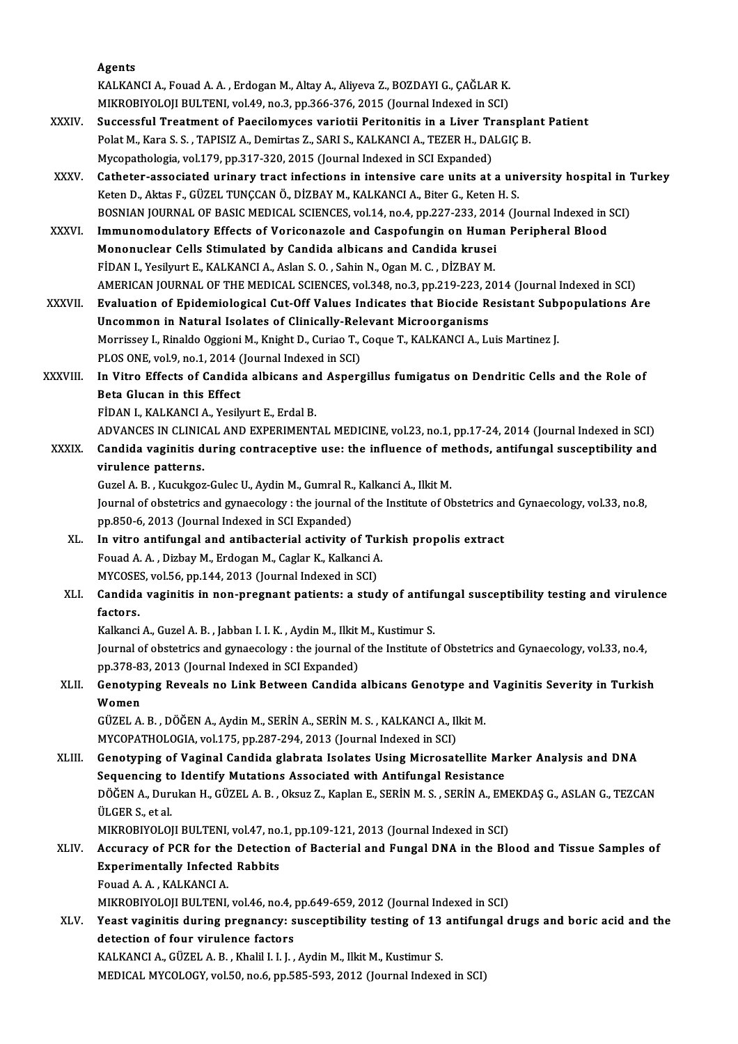|               | Agents                                                                                                                                                                                   |
|---------------|------------------------------------------------------------------------------------------------------------------------------------------------------------------------------------------|
|               | KALKANCI A., Fouad A. A., Erdogan M., Altay A., Aliyeva Z., BOZDAYI G., ÇAĞLAR K.                                                                                                        |
|               | MIKROBIYOLOJI BULTENI, vol.49, no.3, pp.366-376, 2015 (Journal Indexed in SCI)                                                                                                           |
| <b>XXXIV</b>  | Successful Treatment of Paecilomyces variotii Peritonitis in a Liver Transplant Patient                                                                                                  |
|               | Polat M., Kara S. S., TAPISIZ A., Demirtas Z., SARI S., KALKANCI A., TEZER H., DALGIÇ B.                                                                                                 |
|               | Mycopathologia, vol.179, pp.317-320, 2015 (Journal Indexed in SCI Expanded)                                                                                                              |
| XXXV.         | Catheter-associated urinary tract infections in intensive care units at a university hospital in Turkey                                                                                  |
|               | Keten D., Aktas F., GÜZEL TUNÇCAN Ö., DİZBAY M., KALKANCI A., Biter G., Keten H. S.                                                                                                      |
|               | BOSNIAN JOURNAL OF BASIC MEDICAL SCIENCES, vol.14, no.4, pp.227-233, 2014 (Journal Indexed in SCI)                                                                                       |
| <b>XXXVI</b>  | Immunomodulatory Effects of Voriconazole and Caspofungin on Human Peripheral Blood                                                                                                       |
|               | Mononuclear Cells Stimulated by Candida albicans and Candida krusei                                                                                                                      |
|               | FİDAN I., Yesilyurt E., KALKANCI A., Aslan S. O., Sahin N., Ogan M. C., DİZBAY M.                                                                                                        |
|               | AMERICAN JOURNAL OF THE MEDICAL SCIENCES, vol.348, no.3, pp.219-223, 2014 (Journal Indexed in SCI)                                                                                       |
| <b>XXXVII</b> | Evaluation of Epidemiological Cut-Off Values Indicates that Biocide Resistant Subpopulations Are                                                                                         |
|               | Uncommon in Natural Isolates of Clinically-Relevant Microorganisms                                                                                                                       |
|               | Morrissey I., Rinaldo Oggioni M., Knight D., Curiao T., Coque T., KALKANCI A., Luis Martinez J.                                                                                          |
|               | PLOS ONE, vol.9, no.1, 2014 (Journal Indexed in SCI)                                                                                                                                     |
| XXXVIII.      | In Vitro Effects of Candida albicans and Aspergillus fumigatus on Dendritic Cells and the Role of                                                                                        |
|               | Beta Glucan in this Effect                                                                                                                                                               |
|               | FİDAN I., KALKANCI A., Yesilyurt E., Erdal B.                                                                                                                                            |
|               | ADVANCES IN CLINICAL AND EXPERIMENTAL MEDICINE, vol.23, no.1, pp.17-24, 2014 (Journal Indexed in SCI)                                                                                    |
| XXXIX.        | Candida vaginitis during contraceptive use: the influence of methods, antifungal susceptibility and                                                                                      |
|               | virulence patterns.                                                                                                                                                                      |
|               | Guzel A. B., Kucukgoz-Gulec U., Aydin M., Gumral R., Kalkanci A., Ilkit M.                                                                                                               |
|               | Journal of obstetrics and gynaecology : the journal of the Institute of Obstetrics and Gynaecology, vol.33, no.8,                                                                        |
|               | pp.850-6, 2013 (Journal Indexed in SCI Expanded)                                                                                                                                         |
| XL.           | In vitro antifungal and antibacterial activity of Turkish propolis extract                                                                                                               |
|               | Fouad A. A., Dizbay M., Erdogan M., Caglar K., Kalkanci A.                                                                                                                               |
|               | MYCOSES, vol.56, pp.144, 2013 (Journal Indexed in SCI)                                                                                                                                   |
| XLI.          | Candida vaginitis in non-pregnant patients: a study of antifungal susceptibility testing and virulence                                                                                   |
|               | factors.                                                                                                                                                                                 |
|               | Kalkanci A., Guzel A. B., Jabban I. I. K., Aydin M., Ilkit M., Kustimur S.                                                                                                               |
|               | Journal of obstetrics and gynaecology : the journal of the Institute of Obstetrics and Gynaecology, vol.33, no.4,                                                                        |
|               | pp.378-83, 2013 (Journal Indexed in SCI Expanded)                                                                                                                                        |
| XLII.         | Genotyping Reveals no Link Between Candida albicans Genotype and Vaginitis Severity in Turkish                                                                                           |
|               | Women                                                                                                                                                                                    |
|               | GÜZEL A. B., DÖĞEN A., Aydin M., SERİN A., SERİN M. S., KALKANCI A., Ilkit M.                                                                                                            |
|               | MYCOPATHOLOGIA, vol.175, pp.287-294, 2013 (Journal Indexed in SCI)                                                                                                                       |
| XLIII.        | Genotyping of Vaginal Candida glabrata Isolates Using Microsatellite Marker Analysis and DNA                                                                                             |
|               | Sequencing to Identify Mutations Associated with Antifungal Resistance                                                                                                                   |
|               | DÖĞEN A., Durukan H., GÜZEL A. B., Oksuz Z., Kaplan E., SERİN M. S., SERİN A., EMEKDAŞ G., ASLAN G., TEZCAN                                                                              |
|               | ÜLGER S., et al.                                                                                                                                                                         |
|               | MIKROBIYOLOJI BULTENI, vol.47, no.1, pp.109-121, 2013 (Journal Indexed in SCI)                                                                                                           |
| XLIV.         | Accuracy of PCR for the Detection of Bacterial and Fungal DNA in the Blood and Tissue Samples of                                                                                         |
|               | <b>Experimentally Infected Rabbits</b>                                                                                                                                                   |
|               | Fouad A.A., KALKANCI A.                                                                                                                                                                  |
|               |                                                                                                                                                                                          |
| XLV.          | MIKROBIYOLOJI BULTENI, vol.46, no.4, pp.649-659, 2012 (Journal Indexed in SCI)<br>Yeast vaginitis during pregnancy: susceptibility testing of 13 antifungal drugs and boric acid and the |
|               | detection of four virulence factors                                                                                                                                                      |
|               | KALKANCI A., GÜZEL A. B., Khalil I. I. J., Aydin M., Ilkit M., Kustimur S.                                                                                                               |
|               | MEDICAL MYCOLOGY, vol.50, no.6, pp.585-593, 2012 (Journal Indexed in SCI)                                                                                                                |
|               |                                                                                                                                                                                          |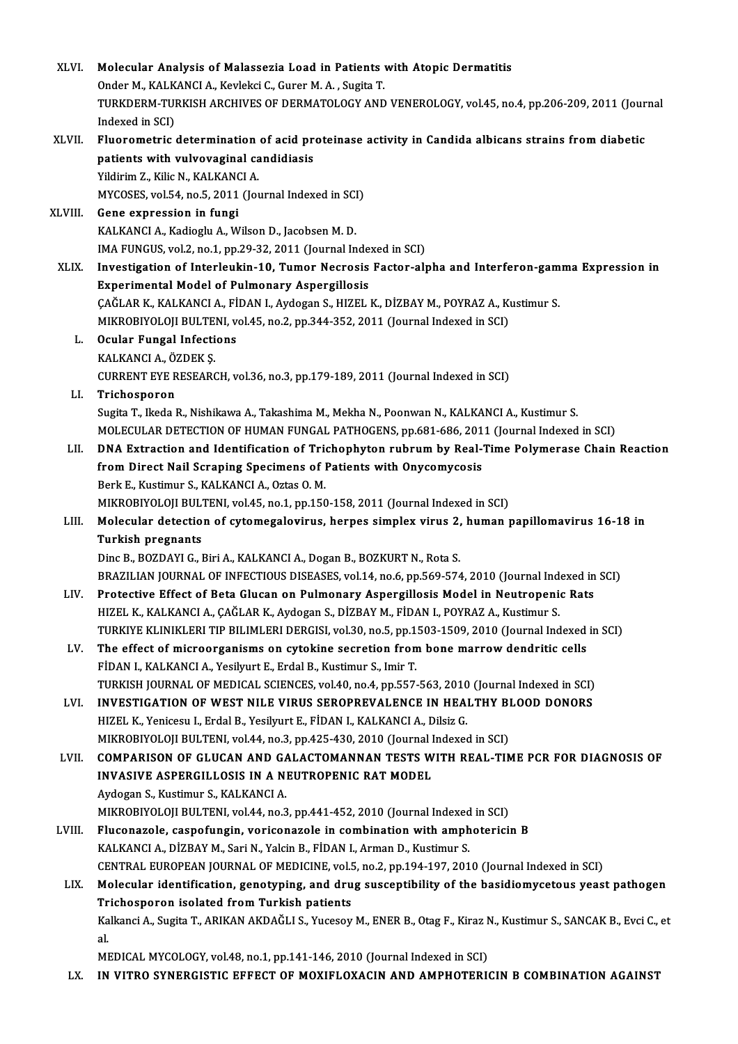| XLVI.   | Molecular Analysis of Malassezia Load in Patients with Atopic Dermatitis                                                              |
|---------|---------------------------------------------------------------------------------------------------------------------------------------|
|         | Onder M., KALKANCI A., Kevlekci C., Gurer M. A., Sugita T.                                                                            |
|         | TURKDERM-TURKISH ARCHIVES OF DERMATOLOGY AND VENEROLOGY, vol.45, no.4, pp.206-209, 2011 (Journal                                      |
|         | Indexed in SCI)                                                                                                                       |
| XLVII.  | Fluorometric determination of acid proteinase activity in Candida albicans strains from diabetic                                      |
|         | patients with vulvovaginal candidiasis                                                                                                |
|         | Yildirim Z., Kilic N., KALKANCI A.                                                                                                    |
|         | MYCOSES, vol.54, no.5, 2011 (Journal Indexed in SCI)                                                                                  |
| XLVIII. | Gene expression in fungi                                                                                                              |
|         | KALKANCI A., Kadioglu A., Wilson D., Jacobsen M. D.                                                                                   |
|         | IMA FUNGUS, vol.2, no.1, pp.29-32, 2011 (Journal Indexed in SCI)                                                                      |
| XLIX.   | Investigation of Interleukin-10, Tumor Necrosis Factor-alpha and Interferon-gamma Expression in                                       |
|         | <b>Experimental Model of Pulmonary Aspergillosis</b>                                                                                  |
|         | ÇAĞLAR K., KALKANCI A., FİDAN I., Aydogan S., HIZEL K., DİZBAY M., POYRAZ A., Kustimur S.                                             |
|         | MIKROBIYOLOJI BULTENI, vol.45, no.2, pp.344-352, 2011 (Journal Indexed in SCI)                                                        |
| L.      | <b>Ocular Fungal Infections</b>                                                                                                       |
|         | KALKANCI A., ÖZDEK Ş.                                                                                                                 |
|         | CURRENT EYE RESEARCH, vol.36, no.3, pp.179-189, 2011 (Journal Indexed in SCI)                                                         |
| LI.     | Trichosporon                                                                                                                          |
|         | Sugita T., Ikeda R., Nishikawa A., Takashima M., Mekha N., Poonwan N., KALKANCI A., Kustimur S.                                       |
|         | MOLECULAR DETECTION OF HUMAN FUNGAL PATHOGENS, pp.681-686, 2011 (Journal Indexed in SCI)                                              |
| LII.    | DNA Extraction and Identification of Trichophyton rubrum by Real-Time Polymerase Chain Reaction                                       |
|         | from Direct Nail Scraping Specimens of Patients with Onycomycosis                                                                     |
|         | Berk E., Kustimur S., KALKANCI A., Oztas O. M.                                                                                        |
|         | MIKROBIYOLOJI BULTENI, vol 45, no.1, pp.150-158, 2011 (Journal Indexed in SCI)                                                        |
| LIII.   | Molecular detection of cytomegalovirus, herpes simplex virus 2, human papillomavirus 16-18 in                                         |
|         | <b>Turkish pregnants</b>                                                                                                              |
|         | Dinc B., BOZDAYI G., Biri A., KALKANCI A., Dogan B., BOZKURT N., Rota S.                                                              |
|         | BRAZILIAN JOURNAL OF INFECTIOUS DISEASES, vol.14, no.6, pp.569-574, 2010 (Journal Indexed in SCI)                                     |
| LIV.    | Protective Effect of Beta Glucan on Pulmonary Aspergillosis Model in Neutropenic Rats                                                 |
|         | HIZEL K., KALKANCI A., ÇAĞLAR K., Aydogan S., DİZBAY M., FİDAN I., POYRAZ A., Kustimur S.                                             |
|         | TURKIYE KLINIKLERI TIP BILIMLERI DERGISI, vol.30, no.5, pp.1503-1509, 2010 (Journal Indexed in SCI)                                   |
| LV.     | The effect of microorganisms on cytokine secretion from bone marrow dendritic cells                                                   |
|         | FİDAN I., KALKANCI A., Yesilyurt E., Erdal B., Kustimur S., Imir T.                                                                   |
|         | TURKISH JOURNAL OF MEDICAL SCIENCES, vol.40, no.4, pp.557-563, 2010 (Journal Indexed in SCI)                                          |
| LVI.    | INVESTIGATION OF WEST NILE VIRUS SEROPREVALENCE IN HEALTHY BLOOD DONORS                                                               |
|         | HIZEL K., Yenicesu I., Erdal B., Yesilyurt E., FİDAN I., KALKANCI A., Dilsiz G.                                                       |
|         | MIKROBIYOLOJI BULTENI, vol.44, no.3, pp.425-430, 2010 (Journal Indexed in SCI)                                                        |
| LVII.   | COMPARISON OF GLUCAN AND GALACTOMANNAN TESTS WITH REAL-TIME PCR FOR DIAGNOSIS OF<br>INVASIVE ASPERGILLOSIS IN A NEUTROPENIC RAT MODEL |
|         | Aydogan S., Kustimur S., KALKANCI A.                                                                                                  |
|         | MIKROBIYOLOJI BULTENI, vol 44, no 3, pp 441-452, 2010 (Journal Indexed in SCI)                                                        |
|         | Fluconazole, caspofungin, voriconazole in combination with amphotericin B                                                             |
| LVIII.  | KALKANCI A., DİZBAY M., Sari N., Yalcin B., FİDAN I., Arman D., Kustimur S.                                                           |
|         | CENTRAL EUROPEAN JOURNAL OF MEDICINE, vol.5, no.2, pp.194-197, 2010 (Journal Indexed in SCI)                                          |
| LIX.    | Molecular identification, genotyping, and drug susceptibility of the basidiomycetous yeast pathogen                                   |
|         | Trichosporon isolated from Turkish patients                                                                                           |
|         | Kalkanci A., Sugita T., ARIKAN AKDAĞLI S., Yucesoy M., ENER B., Otag F., Kiraz N., Kustimur S., SANCAK B., Evci C., et                |
|         | al.                                                                                                                                   |
|         | MEDICAL MYCOLOGY, vol.48, no.1, pp.141-146, 2010 (Journal Indexed in SCI)                                                             |
|         |                                                                                                                                       |

LX. IN VITRO SYNERGISTIC EFFECT OF MOXIFLOXACIN AND AMPHOTERICIN B COMBINATION AGAINST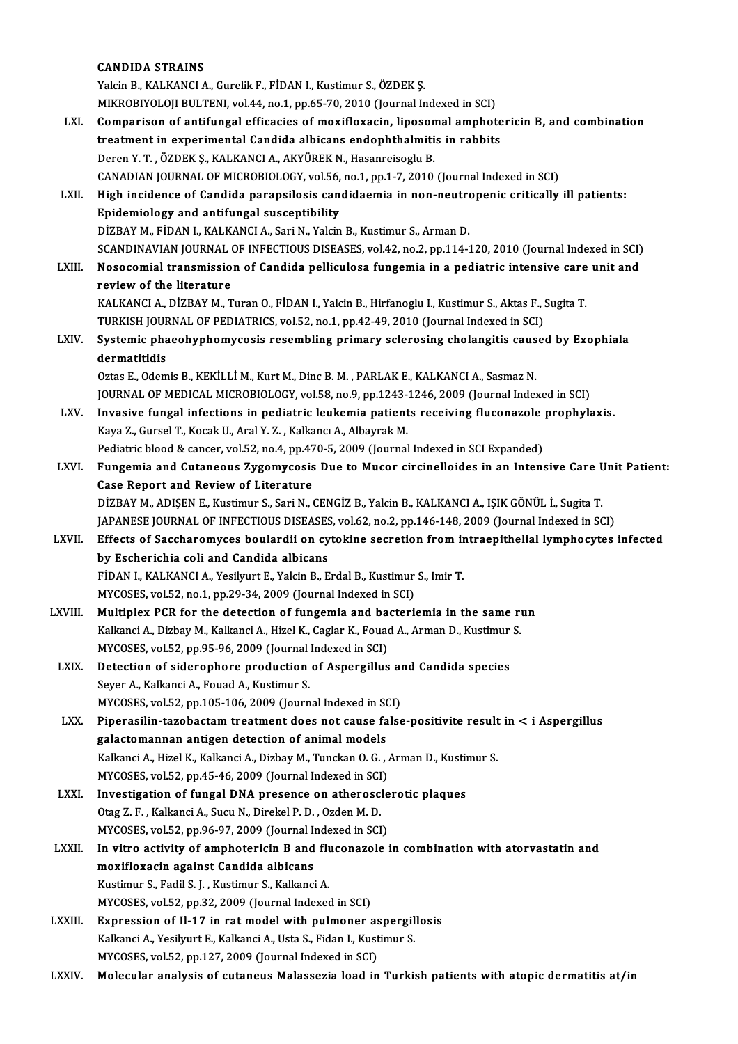### CANDIDA STRAINS

|              | <b>CANDIDA STRAINS</b>                                                                                                                         |
|--------------|------------------------------------------------------------------------------------------------------------------------------------------------|
|              | Yalcin B., KALKANCI A., Gurelik F., FİDAN I., Kustimur S., ÖZDEK Ş.                                                                            |
|              | MIKROBIYOLOJI BULTENI, vol.44, no.1, pp.65-70, 2010 (Journal Indexed in SCI)                                                                   |
| LXI.         | Comparison of antifungal efficacies of moxifloxacin, liposomal amphotericin B, and combination                                                 |
|              | treatment in experimental Candida albicans endophthalmitis in rabbits                                                                          |
|              | Deren Y. T., ÖZDEK Ş., KALKANCI A., AKYÜREK N., Hasanreisoglu B.                                                                               |
|              | CANADIAN JOURNAL OF MICROBIOLOGY, vol.56, no.1, pp.1-7, 2010 (Journal Indexed in SCI)                                                          |
| LXII.        | High incidence of Candida parapsilosis candidaemia in non-neutropenic critically ill patients:                                                 |
|              | Epidemiology and antifungal susceptibility                                                                                                     |
|              | DİZBAY M., FİDAN I., KALKANCI A., Sari N., Yalcin B., Kustimur S., Arman D.                                                                    |
|              | SCANDINAVIAN JOURNAL OF INFECTIOUS DISEASES, vol.42, no.2, pp.114-120, 2010 (Journal Indexed in SCI)                                           |
| LXIII.       | Nosocomial transmission of Candida pelliculosa fungemia in a pediatric intensive care unit and                                                 |
|              | review of the literature                                                                                                                       |
|              | KALKANCI A., DİZBAY M., Turan O., FİDAN I., Yalcin B., Hirfanoglu I., Kustimur S., Aktas F., Sugita T.                                         |
|              | TURKISH JOURNAL OF PEDIATRICS, vol.52, no.1, pp.42-49, 2010 (Journal Indexed in SCI)                                                           |
| LXIV.        | Systemic phaeohyphomycosis resembling primary sclerosing cholangitis caused by Exophiala                                                       |
|              | dermatitidis                                                                                                                                   |
|              | Oztas E., Odemis B., KEKİLLİ M., Kurt M., Dinc B. M., PARLAK E., KALKANCI A., Sasmaz N.                                                        |
|              | JOURNAL OF MEDICAL MICROBIOLOGY, vol.58, no.9, pp.1243-1246, 2009 (Journal Indexed in SCI)                                                     |
| LXV.         | Invasive fungal infections in pediatric leukemia patients receiving fluconazole prophylaxis.                                                   |
|              | Kaya Z., Gursel T., Kocak U., Aral Y. Z., Kalkancı A., Albayrak M.                                                                             |
|              | Pediatric blood & cancer, vol.52, no.4, pp.470-5, 2009 (Journal Indexed in SCI Expanded)                                                       |
| LXVI.        | Fungemia and Cutaneous Zygomycosis Due to Mucor circinelloides in an Intensive Care Unit Patient:                                              |
|              | Case Report and Review of Literature                                                                                                           |
|              | DİZBAY M., ADIŞEN E., Kustimur S., Sari N., CENGİZ B., Yalcin B., KALKANCI A., IŞIK GÖNÜL İ., Sugita T.                                        |
|              | JAPANESE JOURNAL OF INFECTIOUS DISEASES, vol.62, no.2, pp.146-148, 2009 (Journal Indexed in SCI)                                               |
| <b>LXVII</b> | Effects of Saccharomyces boulardii on cytokine secretion from intraepithelial lymphocytes infected                                             |
|              | by Escherichia coli and Candida albicans                                                                                                       |
|              | FİDAN I., KALKANCI A., Yesilyurt E., Yalcin B., Erdal B., Kustimur S., Imir T.                                                                 |
|              | MYCOSES, vol.52, no.1, pp.29-34, 2009 (Journal Indexed in SCI)                                                                                 |
| LXVIII.      | Multiplex PCR for the detection of fungemia and bacteriemia in the same run                                                                    |
|              | Kalkanci A., Dizbay M., Kalkanci A., Hizel K., Caglar K., Fouad A., Arman D., Kustimur S.                                                      |
|              | MYCOSES, vol.52, pp.95-96, 2009 (Journal Indexed in SCI)                                                                                       |
| LXIX.        | Detection of siderophore production of Aspergillus and Candida species                                                                         |
|              | Seyer A., Kalkanci A., Fouad A., Kustimur S.                                                                                                   |
|              | MYCOSES, vol.52, pp.105-106, 2009 (Journal Indexed in SCI)                                                                                     |
| LXX.         | Piperasilin-tazobactam treatment does not cause false-positivite result in < i Aspergillus<br>galactomannan antigen detection of animal models |
|              | Kalkanci A., Hizel K., Kalkanci A., Dizbay M., Tunckan O. G., Arman D., Kustimur S.                                                            |
|              | MYCOSES, vol.52, pp.45-46, 2009 (Journal Indexed in SCI)                                                                                       |
| LXXI.        | Investigation of fungal DNA presence on atherosclerotic plaques                                                                                |
|              | Otag Z. F., Kalkanci A., Sucu N., Direkel P. D., Ozden M. D.                                                                                   |
|              | MYCOSES, vol.52, pp.96-97, 2009 (Journal Indexed in SCI)                                                                                       |
| LXXII.       | In vitro activity of amphotericin B and fluconazole in combination with atorvastatin and                                                       |
|              | moxifloxacin against Candida albicans                                                                                                          |
|              | Kustimur S., Fadil S. J., Kustimur S., Kalkanci A.                                                                                             |
|              | MYCOSES, vol.52, pp.32, 2009 (Journal Indexed in SCI)                                                                                          |
| LXXIII.      | Expression of Il-17 in rat model with pulmoner aspergillosis                                                                                   |
|              | Kalkanci A., Yesilyurt E., Kalkanci A., Usta S., Fidan I., Kustimur S.                                                                         |
|              | MYCOSES, vol.52, pp.127, 2009 (Journal Indexed in SCI)                                                                                         |
| <b>LXXIV</b> | Molecular analysis of cutaneus Malassezia load in Turkish patients with atopic dermatitis at/in                                                |
|              |                                                                                                                                                |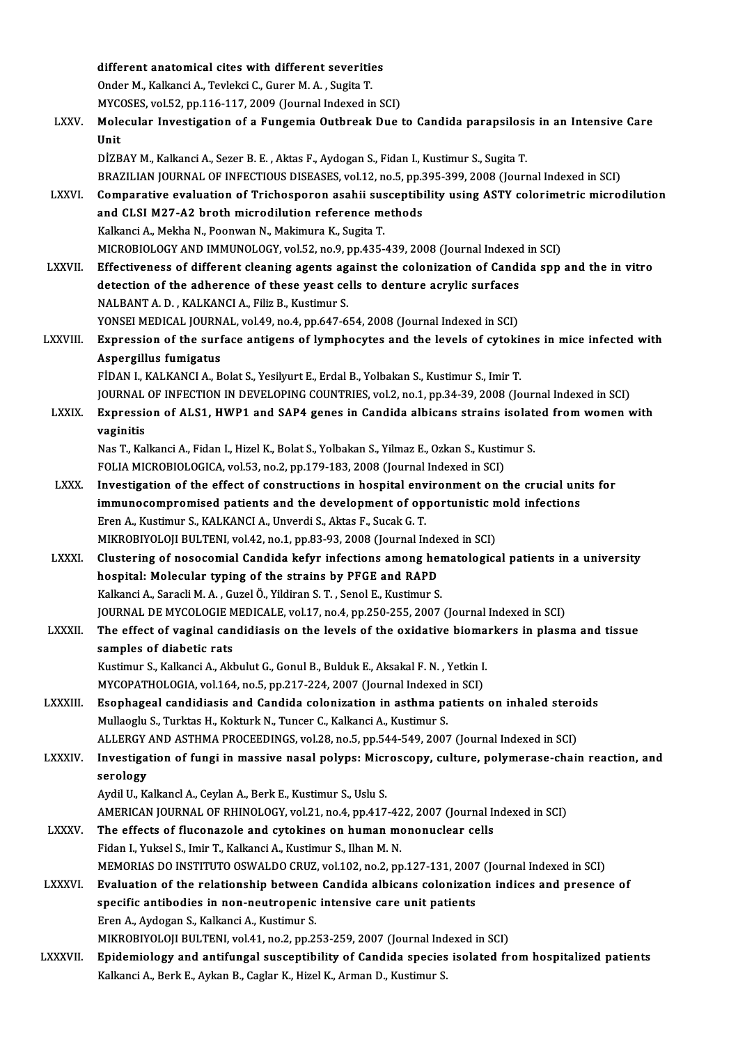different anatomical cites with different severities Onder M., Kalkanci A., Tevlekci C., Gurer M. A., Sugita T. MYCOSES, vol.52, pp.116-117, 2009 (Journal Indexed in SCI) Onder M., Kalkanci A., Tevlekci C., Gurer M. A. , Sugita T.<br>MYCOSES, vol.52, pp.116-117, 2009 (Journal Indexed in SCI)<br>LXXV. Molecular Investigation of a Fungemia Outbreak Due to Candida parapsilosis in an Intensive Care MYC<br><mark>Mole</mark><br>Unit<br>Dize Molecular Investigation of a Fungemia Outbreak Due to Candida parapsilosi<br>Unit<br>DİZBAY M., Kalkanci A., Sezer B. E. , Aktas F., Aydogan S., Fidan I., Kustimur S., Sugita T.<br>PRAZILIAN JOURNAL OF INFECTIOUS DISEASES. vel.12. Unit<br>DİZBAY M., Kalkanci A., Sezer B. E. , Aktas F., Aydogan S., Fidan I., Kustimur S., Sugita T.<br>BRAZILIAN JOURNAL OF INFECTIOUS DISEASES, vol.12, no.5, pp.395-399, 2008 (Journal Indexed in SCI)<br>Comparative evaluation of DİZBAY M., Kalkanci A., Sezer B. E. , Aktas F., Aydogan S., Fidan I., Kustimur S., Sugita T.<br>BRAZILIAN JOURNAL OF INFECTIOUS DISEASES, vol.12, no.5, pp.395-399, 2008 (Journal Indexed in SCI)<br>LXXVI. Comparative evaluation o BRAZILIAN JOURNAL OF INFECTIOUS DISEASES, vol.12, no.5, pp.3<br>Comparative evaluation of Trichosporon asahii susceptibi<br>and CLSI M27-A2 broth microdilution reference methods<br>Kalkansi A. Makha N. Boonuan N. Makimura K. Susita Kalkanci A., Mekha N., Poonwan N., Makimura K., Sugita T. and CLSI M27-A2 broth microdilution reference methods<br>Kalkanci A., Mekha N., Poonwan N., Makimura K., Sugita T.<br>MICROBIOLOGY AND IMMUNOLOGY, vol.52, no.9, pp.435-439, 2008 (Journal Indexed in SCI)<br>Effectiveness of differen LXXVII. Effectiveness of different cleaning agents against the colonization of Candida spp and the in vitro MICROBIOLOGY AND IMMUNOLOGY, vol.52, no.9, pp.435-439, 2008 (Journal Indexed<br>Effectiveness of different cleaning agents against the colonization of Candi<br>detection of the adherence of these yeast cells to denture acrylic s NALBANT A. D., KALKANCI A., Filiz B., Kustimur S. detection of the adherence of these yeast cells to denture acrylic surfaces NALBANT A. D. , KALKANCI A., Filiz B., Kustimur S.<br>YONSEI MEDICAL JOURNAL, vol.49, no.4, pp.647-654, 2008 (Journal Indexed in SCI)<br>LXXVIII. Expression of the surface antigens of lymphocytes and the levels of cytokines in m YONSEI MEDICAL JOURNAL, vol.49, no.4, pp.647-654, 2008 (Journal Indexed in SCI)<br>Expression of the surface antigens of lymphocytes and the levels of cytokin<br>Aspergillus fumigatus<br>FIDAN I., KALKANCI A., Bolat S., Yesilyurt E Expression of the surface antigens of lymphocytes and the levels of cytoki!<br>Aspergillus fumigatus<br>FİDAN I., KALKANCI A., Bolat S., Yesilyurt E., Erdal B., Yolbakan S., Kustimur S., Imir T.<br>JOUPMAL OF INFECTION IN DEVELOPIN JOURNAL OF INFECTION IN DEVELOPING COUNTRIES, vol.2, no.1, pp.34-39, 2008 (Journal Indexed in SCI) FİDAN I., KALKANCI A., Bolat S., Yesilyurt E., Erdal B., Yolbakan S., Kustimur S., Imir T.<br>JOURNAL OF INFECTION IN DEVELOPING COUNTRIES, vol.2, no.1, pp.34-39, 2008 (Journal Indexed in SCI)<br>LXXIX. Expression of ALS1, HWP1 JOURNAL<br>Expressie<br>vaginitis<br>Nas T. Kal Expression of ALS1, HWP1 and SAP4 genes in Candida albicans strains isolate<br>vaginitis<br>Nas T., Kalkanci A., Fidan I., Hizel K., Bolat S., Yolbakan S., Yilmaz E., Ozkan S., Kustimur S.<br>FOLIA MICRORIOLOCICA, vol.53, no.3, nn. vaginitis<br>Nas T., Kalkanci A., Fidan I., Hizel K., Bolat S., Yolbakan S., Yilmaz E., Ozkan S., Kustimur S.<br>FOLIA MICROBIOLOGICA, vol.53, no.2, pp.179-183, 2008 (Journal Indexed in SCI) Nas T., Kalkanci A., Fidan I., Hizel K., Bolat S., Yolbakan S., Yilmaz E., Ozkan S., Kustimur S.<br>FOLIA MICROBIOLOGICA, vol.53, no.2, pp.179-183, 2008 (Journal Indexed in SCI)<br>LXXX. Investigation of the effect of constructi FOLIA MICROBIOLOGICA, vol.53, no.2, pp.179-183, 2008 (Journal Indexed in SCI)<br>Investigation of the effect of constructions in hospital environment on the crucial uni<br>immunocompromised patients and the development of opport Investigation of the effect of constructions in hospital envert<br>immunocompromised patients and the development of op<br>Eren A., Kustimur S., KALKANCI A., Unverdi S., Aktas F., Sucak G. T.<br>MIKROPINOLOU PULTENL vol 42, no 1, n immunocompromised patients and the development of opportunistic mold infections<br>Eren A., Kustimur S., KALKANCI A., Unverdi S., Aktas F., Sucak G. T.<br>MIKROBIYOLOJI BULTENI, vol.42, no.1, pp.83-93, 2008 (Journal Indexed in S LXXXI. Clustering of nosocomial Candida kefyr infections among hematological patients in a university MIKROBIYOLOJI BULTENI, vol.42, no.1, pp.83-93, 2008 (Journal Inde<br>Clustering of nosocomial Candida kefyr infections among he<br>hospital: Molecular typing of the strains by PFGE and RAPD<br>Kalkapi A. Sanadi M.A. Cural Ö. Vildir Clustering of nosocomial Candida kefyr infections among her<br>hospital: Molecular typing of the strains by PFGE and RAPD<br>Kalkanci A., Saracli M. A. , Guzel Ö., Yildiran S. T. , Senol E., Kustimur S.<br>JOUPMAL DE MYCOLOGIE MEDI Kalkanci A., Saracli M. A. , Guzel Ö., Yildiran S. T. , Senol E., Kustimur S.<br>JOURNAL DE MYCOLOGIE MEDICALE, vol.17, no.4, pp.250-255, 2007 (Journal Indexed in SCI) Kalkanci A., Saracli M. A. , Guzel Ö., Yildiran S. T. , Senol E., Kustimur S.<br>JOURNAL DE MYCOLOGIE MEDICALE, vol.17, no.4, pp.250-255, 2007 (Journal Indexed in SCI)<br>LXXXII. The effect of vaginal candidiasis on the levels o **JOURNAL DE MYCOLOGIE M<br>The effect of vaginal can<br>samples of diabetic rats**<br>Evetimur S. Kalkansi A. Ald The effect of vaginal candidiasis on the levels of the oxidative bioma<br>samples of diabetic rats<br>Kustimur S., Kalkanci A., Akbulut G., Gonul B., Bulduk E., Aksakal F. N. , Yetkin I.<br>MVCOBATHOLOGIA vol.164 no 5 np.317.224.20 samples of diabetic rats<br>Kustimur S., Kalkanci A., Akbulut G., Gonul B., Bulduk E., Aksakal F. N. , Yetkin I.<br>MYCOPATHOLOGIA, vol.164, no.5, pp.217-224, 2007 (Journal Indexed in SCI)<br>Feenhageal sandidiagis and Candide sele Kustimur S., Kalkanci A., Akbulut G., Gonul B., Bulduk E., Aksakal F. N. , Yetkin I.<br>MYCOPATHOLOGIA, vol.164, no.5, pp.217-224, 2007 (Journal Indexed in SCI)<br>LXXXIII. Esophageal candidiasis and Candida colonization in asth MYCOPATHOLOGIA, vol.164, no.5, pp.217-224, 2007 (Journal Indexed<br>Esophageal candidiasis and Candida colonization in asthma pa<br>Mullaoglu S., Turktas H., Kokturk N., Tuncer C., Kalkanci A., Kustimur S.<br>ALLERCY AND ASTUMA PRO Esophageal candidiasis and Candida colonization in asthma patients on inhaled stero<br>Mullaoglu S., Turktas H., Kokturk N., Tuncer C., Kalkanci A., Kustimur S.<br>ALLERGY AND ASTHMA PROCEEDINGS, vol.28, no.5, pp.544-549, 2007 ( Mullaoglu S., Turktas H., Kokturk N., Tuncer C., Kalkanci A., Kustimur S.<br>ALLERGY AND ASTHMA PROCEEDINGS, vol.28, no.5, pp.544-549, 2007 (Journal Indexed in SCI)<br>LXXXIV. Investigation of fungi in massive nasal polyps: Micr ALLERGY<br>Investiga<br>serology<br>Audil II K Investigation of fungi in massive nasal polyps: Micr<br>serology<br>Aydil U., Kalkancl A., Ceylan A., Berk E., Kustimur S., Uslu S.<br>AMERICAN JOURNAL OF RHINOLOCY vol 21, no 4, nn 417 serology<br>Aydil U., Kalkancl A., Ceylan A., Berk E., Kustimur S., Uslu S.<br>AMERICAN JOURNAL OF RHINOLOGY, vol.21, no.4, pp.417-422, 2007 (Journal Indexed in SCI)<br>The effects of flueenagels and sutekines on buman mononuslear Aydil U., Kalkancl A., Ceylan A., Berk E., Kustimur S., Uslu S.<br>AMERICAN JOURNAL OF RHINOLOGY, vol.21, no.4, pp.417-422, 2007 (Journal In<br>LXXXV. The effects of fluconazole and cytokines on human mononuclear cells<br>Fiden L. AMERICAN JOURNAL OF RHINOLOGY, vol.21, no.4, pp.417-42<br>The effects of fluconazole and cytokines on human mo<br>Fidan I., Yuksel S., Imir T., Kalkanci A., Kustimur S., Ilhan M. N.<br>MEMOPIAS DO INSTITUTO OSWAL DO CPUZ, vol.102, The effects of fluconazole and cytokines on human mononuclear cells<br>Fidan I., Yuksel S., Imir T., Kalkanci A., Kustimur S., Ilhan M. N.<br>MEMORIAS DO INSTITUTO OSWALDO CRUZ. vol.102. no.2. pp.127-131. 2007 (Journal Indexed i Fidan I., Yuksel S., Imir T., Kalkanci A., Kustimur S., Ilhan M. N.<br>MEMORIAS DO INSTITUTO OSWALDO CRUZ, vol.102, no.2, pp.127-131, 2007 (Journal Indexed in SCI)<br>LXXXVI. Evaluation of the relationship between Candida albica MEMORIAS DO INSTITUTO OSWALDO CRUZ, vol.102, no.2, pp.127-131, 2007<br>Evaluation of the relationship between Candida albicans colonizati<br>specific antibodies in non-neutropenic intensive care unit patients<br>Free A. Avdesen S. Evaluation of the relationship between<br>specific antibodies in non-neutropenic<br>Eren A., Aydogan S., Kalkanci A., Kustimur S.<br>MIKROPIXOLOU PULTENU vol 41 no 3 np 3. specific antibodies in non-neutropenic intensive care unit patients<br>Eren A., Aydogan S., Kalkanci A., Kustimur S.<br>MIKROBIYOLOJI BULTENI, vol.41, no.2, pp.253-259, 2007 (Journal Indexed in SCI)<br>Enidemialegy and entifyngel s Eren A., Aydogan S., Kalkanci A., Kustimur S.<br>MIKROBIYOLOJI BULTENI, vol.41, no.2, pp.253-259, 2007 (Journal Indexed in SCI)<br>LXXXVII. Epidemiology and antifungal susceptibility of Candida species isolated from hospitalized MIKROBIYOLOJI BULTENI, vol.41, no.2, pp.253-259, 2007 (Journal Ind<br><mark>Epidemiology and antifungal susceptibility of Candida species</mark><br>Kalkanci A., Berk E., Aykan B., Caglar K., Hizel K., Arman D., Kustimur S.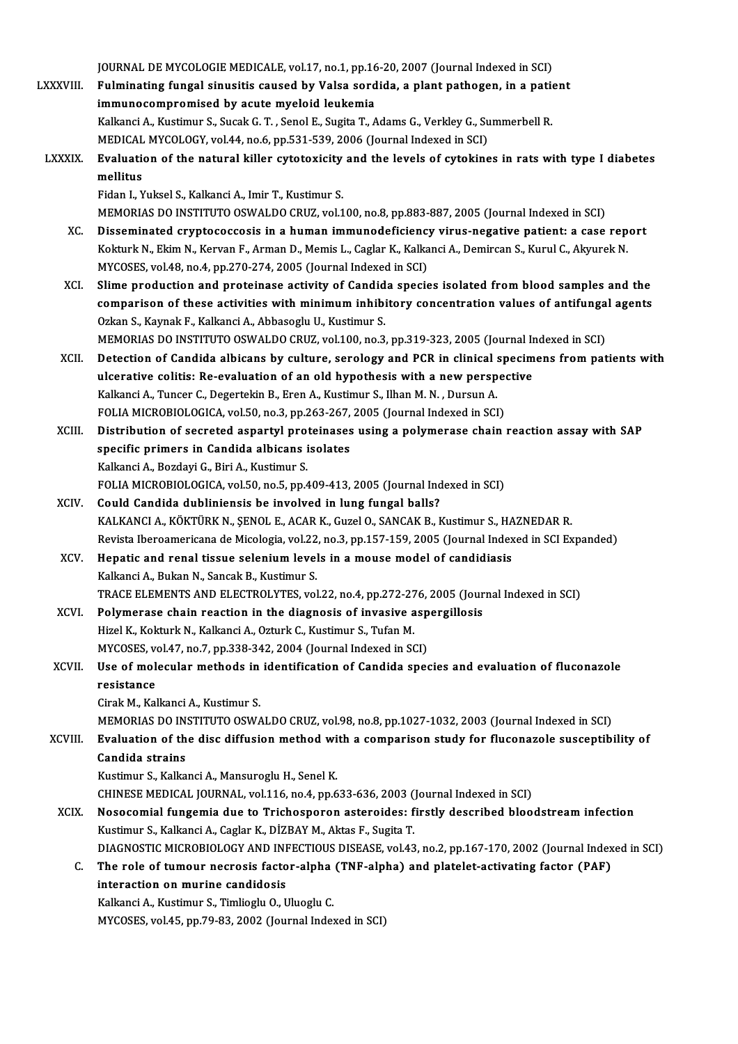JOURNAL DE MYCOLOGIE MEDICALE, vol.17, no.1, pp.16-20, 2007 (Journal Indexed in SCI)<br>Eulminating fungel cinusitie seused by Veles sendide, a plant pathegen, in a pati JOURNAL DE MYCOLOGIE MEDICALE, vol.17, no.1, pp.16-20, 2007 (Journal Indexed in SCI)<br>LXXXVIII. Fulminating fungal sinusitis caused by Valsa sordida, a plant pathogen, in a patient JOURNAL DE MYCOLOGIE MEDICALE, vol.17, no.1, pp.16<br>Fulminating fungal sinusitis caused by Valsa sord<br>immunocompromised by acute myeloid leukemia<br>Kalkansi A. Kustimur S. Susak C.T., Sanal E. Susita T. A Fulminating fungal sinusitis caused by Valsa sordida, a plant pathogen, in a patient immunocompromised by acute myeloid leukemia Kalkanci A., Kustimur S., Sucak G. T., Senol E., Sugita T., Adams G., Verkley G., Summerbell R. Kalkanci A., Kustimur S., Sucak G. T. , Senol E., Sugita T., Adams G., Verkley G., Summerbell R.<br>MEDICAL MYCOLOGY, vol.44, no.6, pp.531-539, 2006 (Journal Indexed in SCI)<br>LXXXIX. Evaluation of the natural killer cytotoxici MEDICAL MYCOLOGY, vol.44, no.6, pp.531-539, 2006 (Journal Indexed in SCI)<br>Evaluation of the natural killer cytotoxicity and the levels of cytokine<br>mellitus<br>Fidan I., Yuksel S., Kalkanci A., Imir T., Kustimur S. Evaluation of the natural killer cytotoxicity<br>mellitus<br>Fidan I., Yuksel S., Kalkanci A., Imir T., Kustimur S.<br>MEMOPLAS DO INSTITUTO OSWAL DO CPUZ, vol 1 MEMORIAS DO INSTITUTO OSWALDO CRUZ, vol.100, no.8, pp.883-887, 2005 (Journal Indexed in SCI) Fidan I., Yuksel S., Kalkanci A., Imir T., Kustimur S.<br>MEMORIAS DO INSTITUTO OSWALDO CRUZ, vol.100, no.8, pp.883-887, 2005 (Journal Indexed in SCI)<br>XC. Disseminated cryptococcosis in a human immunodeficiency virus-negative MEMORIAS DO INSTITUTO OSWALDO CRUZ, vol.100, no.8, pp.883-887, 2005 (Journal Indexed in SCI)<br>Disseminated cryptococcosis in a human immunodeficiency virus-negative patient: a case rep<br>Kokturk N., Ekim N., Kervan F., Arman Disseminated cryptococcosis in a human immunodeficiency<br>Kokturk N., Ekim N., Kervan F., Arman D., Memis L., Caglar K., Kalka<br>MYCOSES, vol.48, no.4, pp.270-274, 2005 (Journal Indexed in SCI)<br>Slime production and proteinage Kokturk N., Ekim N., Kervan F., Arman D., Memis L., Caglar K., Kalkanci A., Demircan S., Kurul C., Akyurek N.<br>MYCOSES, vol.48, no.4, pp.270-274, 2005 (Journal Indexed in SCI)<br>XCI. Slime production and proteinase activity o MYCOSES, vol.48, no.4, pp.270-274, 2005 (Journal Indexed in SCI)<br>Slime production and proteinase activity of Candida species isolated from blood samples and the<br>comparison of these activities with minimum inhibitory concen Slime production and proteinase activity of Candid<br>comparison of these activities with minimum inhibi<br>Ozkan S., Kaynak F., Kalkanci A., Abbasoglu U., Kustimur S.<br>MEMOPIAS DO INSTITUTO OSWAL DO CPUZ, vol 100, po 3 comparison of these activities with minimum inhibitory concentration values of antifunga<br>Ozkan S., Kaynak F., Kalkanci A., Abbasoglu U., Kustimur S.<br>MEMORIAS DO INSTITUTO OSWALDO CRUZ, vol.100, no.3, pp.319-323, 2005 (Jour Ozkan S., Kaynak F., Kalkanci A., Abbasoglu U., Kustimur S.<br>MEMORIAS DO INSTITUTO OSWALDO CRUZ, vol.100, no.3, pp.319-323, 2005 (Journal Indexed in SCI)<br>XCII. Detection of Candida albicans by culture, serology and PCR MEMORIAS DO INSTITUTO OSWALDO CRUZ, vol.100, no.3, pp.319-323, 2005 (Journal In<br>Detection of Candida albicans by culture, serology and PCR in clinical specim<br>ulcerative colitis: Re-evaluation of an old hypothesis with a ne Detection of Candida albicans by culture, serology and PCR in clinical :<br>ulcerative colitis: Re-evaluation of an old hypothesis with a new persp<br>Kalkanci A., Tuncer C., Degertekin B., Eren A., Kustimur S., Ilhan M.N., Durs ulcerative colitis: Re-evaluation of an old hypothesis with a new perspectered in the Salkanci A., Tuncer C., Degertekin B., Eren A., Kustimur S., Ilhan M. N. , Dursun A.<br>FOLIA MICROBIOLOGICA, vol.50, no.3, pp.263-267, 200 Kalkanci A., Tuncer C., Degertekin B., Eren A., Kustimur S., Ilhan M. N. , Dursun A.<br>FOLIA MICROBIOLOGICA, vol.50, no.3, pp.263-267, 2005 (Journal Indexed in SCI)<br>XCIII. Distribution of secreted aspartyl proteinases using FOLIA MICROBIOLOGICA, vol.50, no.3, pp.263-267, 2005 (Journal Indexed in SCI) Kalkanci A., Bozdayi G., Biri A., Kustimur S. specific primers in Candida albicans isolates<br>Kalkanci A., Bozdayi G., Biri A., Kustimur S.<br>FOLIA MICROBIOLOGICA, vol.50, no.5, pp.409-413, 2005 (Journal Indexed in SCI)<br>Could Candida dublinionsis be involved in lung funga Kalkanci A., Bozdayi G., Biri A., Kustimur S.<br>FOLIA MICROBIOLOGICA, vol.50, no.5, pp.409-413, 2005 (Journal Ind<br>XCIV. Could Candida dubliniensis be involved in lung fungal balls?<br>KALKANCLA KÖKTÜPK N. SENOLE ACAP K. Curol O FOLIA MICROBIOLOGICA, vol.50, no.5, pp.409-413, 2005 (Journal Indexed in SCI)<br>Could Candida dubliniensis be involved in lung fungal balls?<br>KALKANCI A., KÖKTÜRK N., ŞENOL E., ACAR K., Guzel O., SANCAK B., Kustimur S., HAZNE Could Candida dubliniensis be involved in lung fungal balls?<br>KALKANCI A., KÖKTÜRK N., ŞENOL E., ACAR K., Guzel O., SANCAK B., Kustimur S., HAZNEDAR R.<br>Revista Iberoamericana de Micologia, vol.22, no.3, pp.157-159, 2005 (Jo KALKANCI A., KÖKTÜRK N., ŞENOL E., ACAR K., Guzel O., SANCAK B., Kustimur S., HA<br>Revista Iberoamericana de Micologia, vol.22, no.3, pp.157-159, 2005 (Journal Index<br>XCV. Hepatic and renal tissue selenium levels in a mouse m Kalkanci A., Bukan N., Sancak B., Kustimur S. Hepatic and renal tissue selenium levels in a mouse model of candidiasis<br>Kalkanci A., Bukan N., Sancak B., Kustimur S.<br>TRACE ELEMENTS AND ELECTROLYTES, vol.22, no.4, pp.272-276, 2005 (Journal Indexed in SCI)<br>Polymenase sha Kalkanci A., Bukan N., Sancak B., Kustimur S.<br>TRACE ELEMENTS AND ELECTROLYTES, vol.22, no.4, pp.272-276, 2005 (Jour<br>XCVI. Polymerase chain reaction in the diagnosis of invasive aspergillosis<br>Hirel K. Kelturk N. Kellionsi A Polymerase chain reaction in the diagnosis of invasive aspergillosis<br>Hizel K., Kokturk N., Kalkanci A., Ozturk C., Kustimur S., Tufan M. Polymerase chain reaction in the diagnosis of invasive asp<br>Hizel K., Kokturk N., Kalkanci A., Ozturk C., Kustimur S., Tufan M.<br>MYCOSES, vol.47, no.7, pp.338-342, 2004 (Journal Indexed in SCI)<br>Hae of molecular mathode in id Hizel K., Kokturk N., Kalkanci A., Ozturk C., Kustimur S., Tufan M.<br>MYCOSES, vol.47, no.7, pp.338-342, 2004 (Journal Indexed in SCI)<br>XCVII. Use of molecular methods in identification of Candida species and evaluation of fl MYCOSES, ve<br>Use of mol<br>resistance<br>Ginak M. Kal Use of molecular methods in<br>resistance<br>Cirak M., Kalkanci A., Kustimur S.<br>MEMOPLAS DO INSTITUTO OSWA resistance<br>Cirak M., Kalkanci A., Kustimur S.<br>MEMORIAS DO INSTITUTO OSWALDO CRUZ, vol.98, no.8, pp.1027-1032, 2003 (Journal Indexed in SCI) Cirak M., Kalkanci A., Kustimur S.<br>MEMORIAS DO INSTITUTO OSWALDO CRUZ, vol.98, no.8, pp.1027-1032, 2003 (Journal Indexed in SCI)<br>XCVIII. Braluation of the disc diffusion method with a comparison study for fluconazole susce MEMORIAS DO IN:<br>Evaluation of th<br>Candida strains<br>Kustimur S. Kalka Evaluation of the disc diffusion method wi<br>Candida strains<br>Kustimur S., Kalkanci A., Mansuroglu H., Senel K.<br>CHINESE MEDICAL JOURNAL, vol.116, no.4, nn.6 Candida strains<br>Kustimur S., Kalkanci A., Mansuroglu H., Senel K.<br>CHINESE MEDICAL JOURNAL, vol.116, no.4, pp.633-636, 2003 (Journal Indexed in SCI)<br>Nesessemial fungemia due to Trichesporene asteroides: firstly described bl Kustimur S., Kalkanci A., Mansuroglu H., Senel K.<br>CHINESE MEDICAL JOURNAL, vol.116, no.4, pp.633-636, 2003 (Journal Indexed in SCI)<br>XCIX. Nosocomial fungemia due to Trichosporon asteroides: firstly described bloodstream in CHINESE MEDICAL JOURNAL, vol.116, no.4, pp.633-636, 2003 (<br>Nosocomial fungemia due to Trichosporon asteroides: f<br>Kustimur S., Kalkanci A., Caglar K., DİZBAY M., Aktas F., Sugita T.<br>DIACNOSTIC MICROPIOLOCY AND INEECTIOUS DI Nosocomial fungemia due to Trichosporon asteroides: firstly described bloodstream infection<br>Kustimur S., Kalkanci A., Caglar K., DİZBAY M., Aktas F., Sugita T.<br>DIAGNOSTIC MICROBIOLOGY AND INFECTIOUS DISEASE, vol.43, no.2, Kustimur S., Kalkanci A., Caglar K., DİZBAY M., Aktas F., Sugita T.<br>DIAGNOSTIC MICROBIOLOGY AND INFECTIOUS DISEASE, vol.43, no.2, pp.167-170, 2002 (Journal Index<br>C. The role of tumour necrosis factor-alpha (TNF-alpha) and DIAGNOSTIC MICROBIOLOGY AND INFECTIOUS DISEASE, vol.43, no.2, pp.167-170, 2002 (Journal Indexed in SCI) Kalkanci A., Kustimur S., Timlioglu O., Uluoglu C. MYCOSES, vol.45, pp.79-83, 2002 (Journal Indexed in SCI)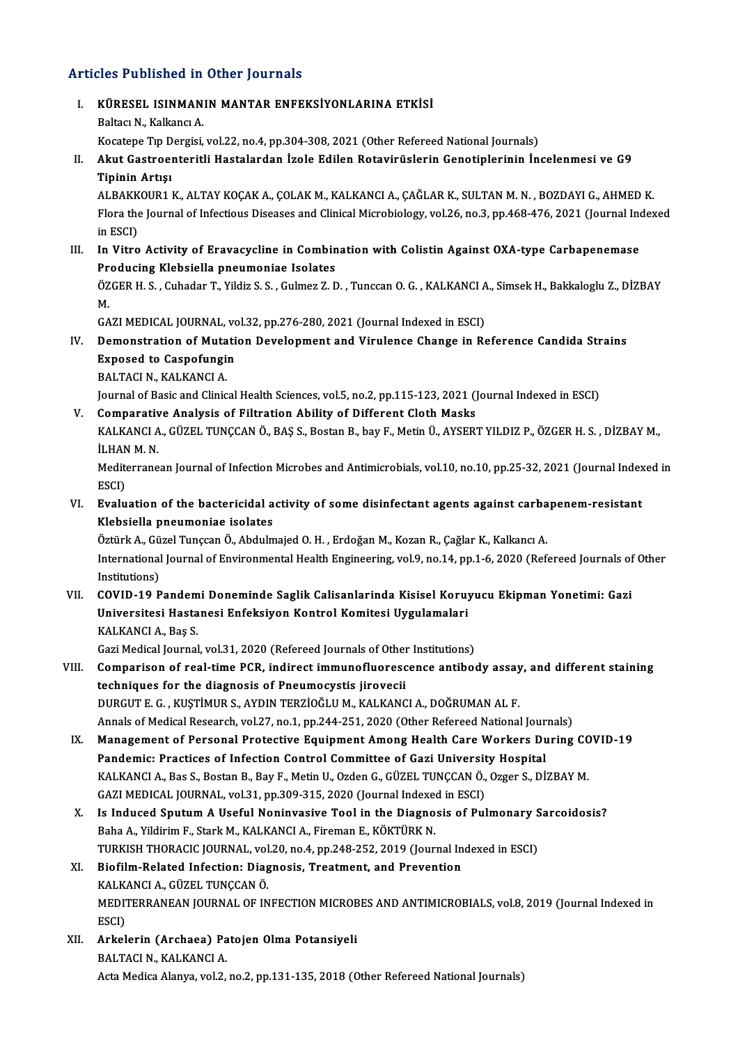### Articles Published in Other Journals

rticles Published in Other Journals<br>I. KÜRESEL ISINMANIN MANTAR ENFEKSİYONLARINA ETKİSİ KÜRESEL ISINMAN<br>Baltacı N., Kalkancı A.<br>Vesstəne Tın Dersisi KÜRESEL ISINMANIN MANTAR ENFEKSİYONLARINA ETKİSİ<br>Baltacı N., Kalkancı A.<br>Kocatepe Tıp Dergisi, vol.22, no.4, pp.304-308, 2021 (Other Refereed National Journals)<br>Akut Castroenteritli Hastalardan İrola Edilen Ratayinüslerin Baltacı N., Kalkancı A.<br>Kocatepe Tıp Dergisi, vol.22, no.4, pp.304-308, 2021 (Other Refereed National Journals)<br>II. Akut Gastroenteritli Hastalardan İzole Edilen Rotavirüslerin Genotiplerinin İncelenmesi ve G9<br>Tipinin Kocatepe Tıp D<br><mark>Akut Gastroe</mark><br>Tipinin Artışı<br>ALBA*VY*OUB1 1 Akut Gastroenteritli Hastalardan İzole Edilen Rotavirüslerin Genotiplerinin İncelenmesi ve G9<br>Tipinin Artışı<br>ALBAKKOUR1 K., ALTAY KOÇAK A., ÇOLAK M., KALKANCI A., ÇAĞLAR K., SULTAN M. N. , BOZDAYI G., AHMED K.<br>Flara the Jo Tipinin Artışı<br>ALBAKKOUR1 K., ALTAY KOÇAK A., ÇOLAK M., KALKANCI A., ÇAĞLAR K., SULTAN M. N. , BOZDAYI G., AHMED K.<br>Flora the Journal of Infectious Diseases and Clinical Microbiology, vol.26, no.3, pp.468-476, 2021 (Journa ALBAKK<br>Flora the<br>in ESCI)<br>In Vitro Flora the Journal of Infectious Diseases and Clinical Microbiology, vol.26, no.3, pp.468-476, 2021 (Journal Ind<br>in ESCI)<br>III. In Vitro Activity of Eravacycline in Combination with Colistin Against OXA-type Carbapenemase<br>Pr in ESCI)<br>III. In Vitro Activity of Eravacycline in Combination with Colistin Against OXA-type Carbapenemase<br>Producing Klebsiella pneumoniae Isolates In Vitro Activity of Eravacycline in Combination with Colistin Against OXA-type Carbapenemase<br>Producing Klebsiella pneumoniae Isolates<br>ÖZGER H. S. , Cuhadar T., Yildiz S. S. , Gulmez Z. D. , Tunccan O. G. , KALKANCI A., Si Pr<br>ÖZ<br>M. ÖZGER H. S. , Cuhadar T., Yildiz S. S. , Gulmez Z. D. , Tunccan O. G. , KALKANCI A<br>M.<br>GAZI MEDICAL JOURNAL, vol.32, pp.276-280, 2021 (Journal Indexed in ESCI)<br>Demonstration of Mutation Development and Virulence Change in B M.<br>GAZI MEDICAL JOURNAL, vol.32, pp.276-280, 2021 (Journal Indexed in ESCI)<br>IV. Demonstration of Mutation Development and Virulence Change in Reference Candida Strains GAZI MEDICAL JOURNAL, vol.32, pp.276-280, 2021 (Journal Indexed in ESCI)<br>Demonstration of Mutation Development and Virulence Change in Rexposed to Caspofungin<br>BALTACI N., KALKANCI A. Exposed to Caspofungin Journal of Basic and Clinical Health Sciences, vol.5, no.2, pp.115-123, 2021 (Journal Indexed in ESCI) BALTACI N., KALKANCI A.<br>Journal of Basic and Clinical Health Sciences, vol.5, no.2, pp.115-123, 2021 ()<br>V. Comparative Analysis of Filtration Ability of Different Cloth Masks<br>VALKANCLA, CÜZEL TUNCCAN Ö. BAS S. Bostan B. ba KALKANCI A., GÜZEL TUNÇCAN Ö., BAŞ S., Bostan B., bay F., Metin Ü., AYSERT YILDIZ P., ÖZGER H. S. , DİZBAY M.,<br>İLHAN M. N. Comparativ<br>KALKANCI A<br>İLHAN M. N.<br>Mediterrane KALKANCI A., GÜZEL TUNÇCAN Ö., BAŞ S., Bostan B., bay F., Metin Ü., AYSERT YILDIZ P., ÖZGER H. S. , DİZBAY M.,<br>İLHAN M. N.<br>Mediterranean Journal of Infection Microbes and Antimicrobials, vol.10, no.10, pp.25-32, 2021 (Jour İLHAN<br>Medit<br>ESCI)<br>Evalu Mediterranean Journal of Infection Microbes and Antimicrobials, vol.10, no.10, pp.25-32, 2021 (Journal Index<br>ESCI)<br>VI. Evaluation of the bactericidal activity of some disinfectant agents against carbapenem-resistant<br>Klobai ESCI)<br>VI. Evaluation of the bactericidal activity of some disinfectant agents against carbapenem-resistant<br>Klebsiella pneumoniae isolates Evaluation of the bactericidal activity of some disinfectant agents against carba<br>Klebsiella pneumoniae isolates<br>Öztürk A., Güzel Tunçcan Ö., Abdulmajed O. H. , Erdoğan M., Kozan R., Çağlar K., Kalkancı A.<br>International Jo International Journal of Environmental Health Engineering, vol.9, no.14, pp.1-6, 2020 (Refereed Journals of Other<br>Institutions) Öztürk A., Gü<br>International<br>Institutions)<br>COVID 19 P VII. COVID-19 Pandemi Doneminde Saglik Calisanlarinda Kisisel Koruyucu Ekipman Yonetimi: Gazi Institutions)<br>COVID-19 Pandemi Doneminde Saglik Calisanlarinda Kisisel Koruj<br>Universitesi Hastanesi Enfeksiyon Kontrol Komitesi Uygulamalari<br>KALKANCLA, Pas S COVID-19 Pandem<br>Universitesi Hasta<br>KALKANCI A., Baş S.<br>Cari Medical Journal Universitesi Hastanesi Enfeksiyon Kontrol Komitesi Uygulamalari<br>KALKANCI A., Baş S.<br>Gazi Medical Journal, vol.31, 2020 (Refereed Journals of Other Institutions)<br>Comparison of real time PCB, indirect immuneflueressense anti KALKANCI A., Baş S.<br>Gazi Medical Journal, vol.31, 2020 (Refereed Journals of Other Institutions)<br>VIII. Comparison of real-time PCR, indirect immunofluorescence antibody assay, and different staining<br>techniques for the diag Gazi Medical Journal, vol.31, 2020 (Refereed Journals of Othe<br>Comparison of real-time PCR, indirect immunofluores<br>techniques for the diagnosis of Pneumocystis jirovecii<br>DURCUTE C. WISTIMURS, AVDIN TERZIOČLU M. VALVAN Comparison of real-time PCR, indirect immunofluorescence antibody assay<br>techniques for the diagnosis of Pneumocystis jirovecii<br>DURGUT E. G. , KUŞTİMUR S., AYDIN TERZİOĞLU M., KALKANCI A., DOĞRUMAN AL F.<br>Annak of Modisal Ba techniques for the diagnosis of Pneumocystis jirovecii<br>DURGUT E. G. , KUŞTİMUR S., AYDIN TERZİOĞLU M., KALKANCI A., DOĞRUMAN AL F.<br>Annals of Medical Research, vol.27, no.1, pp.244-251, 2020 (Other Refereed National Journal DURGUT E. G. , KUŞTİMUR S., AYDIN TERZİOĞLU M., KALKANCI A., DOĞRUMAN AL F.<br>Annals of Medical Research, vol.27, no.1, pp.244-251, 2020 (Other Refereed National Journals)<br>IX. Management of Personal Protective Equipment Amon Annals of Medical Research, vol.27, no.1, pp.244-251, 2020 (Other Refereed National Jour<br>Management of Personal Protective Equipment Among Health Care Workers Du<br>Pandemic: Practices of Infection Control Committee of Gazi U Management of Personal Protective Equipment Among Health Care Workers During CC<br>Pandemic: Practices of Infection Control Committee of Gazi University Hospital<br>KALKANCI A., Bas S., Bostan B., Bay F., Metin U., Ozden G., GÜZ Pandemic: Practices of Infection Control Committee of Gazi Universit<br>KALKANCI A., Bas S., Bostan B., Bay F., Metin U., Ozden G., GÜZEL TUNÇCAN Ö.,<br>GAZI MEDICAL JOURNAL, vol.31, pp.309-315, 2020 (Journal Indexed in ESCI)<br>Is KALKANCI A., Bas S., Bostan B., Bay F., Metin U., Ozden G., GÜZEL TUNÇCAN Ö., Ozger S., DİZBAY M.<br>GAZI MEDICAL JOURNAL, vol.31, pp.309-315, 2020 (Journal Indexed in ESCI)<br>X. Is Induced Sputum A Useful Noninvasive Tool in t GAZI MEDICAL JOURNAL, vol.31, pp.309-315, 2020 (Journal Indexed in ESCI)<br>Is Induced Sputum A Useful Noninvasive Tool in the Diagnosis of Pu<br>Baha A., Yildirim F., Stark M., KALKANCI A., Fireman E., KÖKTÜRK N. X. Is Induced Sputum A Useful Noninvasive Tool in the Diagnosis of Pulmonary Sarcoidosis? XI. Biofilm-Related Infection: Diagnosis, Treatment, and Prevention TURKISH THORACIC JOURNAL, vol.20, no.4, pp.248-252, 2019 (Journal Indexed in ESCI) Biofilm-Related Infection: Diagnosis, Treatment, and Prevention<br>KALKANCI A., GÜZEL TUNÇCAN Ö.<br>MEDITERRANEAN JOURNAL OF INFECTION MICROBES AND ANTIMICROBIALS, vol.8, 2019 (Journal Indexed in<br>ESCD KALK<br>MEDI<br>ESCI)<br>Arkal MEDITERRANEAN JOURNAL OF INFECTION MICROB<br>ESCI)<br>XII. Arkelerin (Archaea) Patojen Olma Potansiyeli<br>PALTACLN KALKANCLA ESCI)<br>XII. Arkelerin (Archaea) Patojen Olma Potansiyeli<br>BALTACI N., KALKANCI A.

Acta Medica Alanya, vol.2, no.2, pp.131-135, 2018 (Other Refereed National Journals)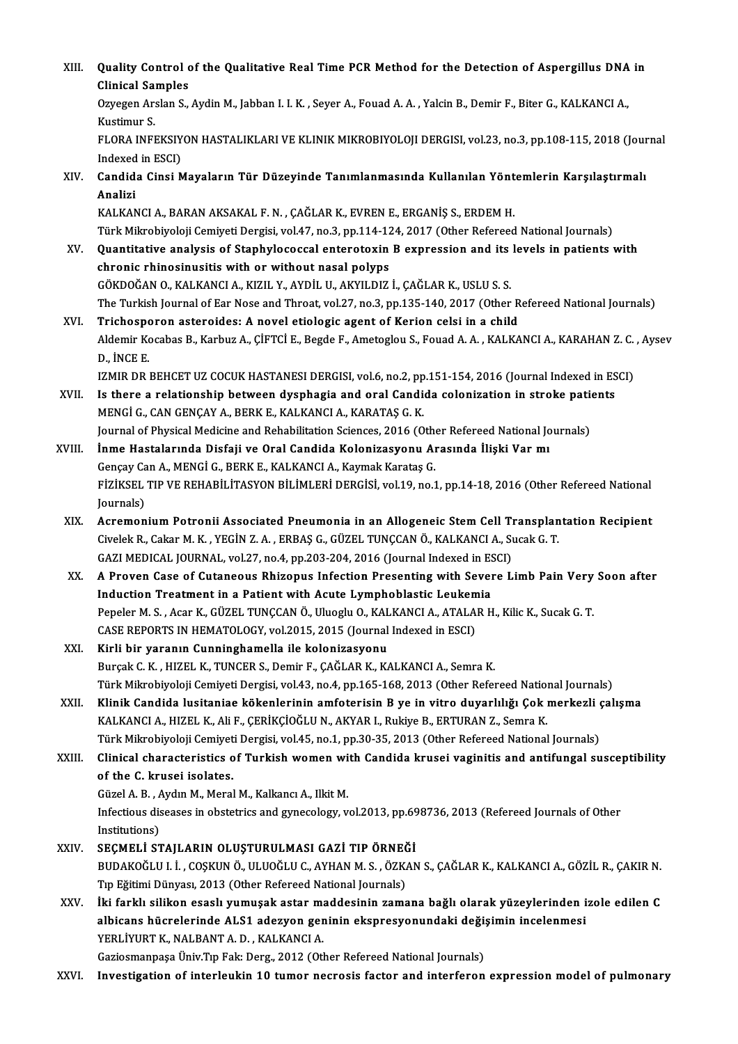XIII. Quality Control of the Qualitative Real Time PCR Method for the Detection of Aspergillus DNA in<br>Clinisel Semples Quality Control<br>Clinical Samples<br>Owegen Arelan S Quality Control of the Qualitative Real Time PCR Method for the Detection of Aspergillus DNA<br>Clinical Samples<br>Ozyegen Arslan S., Aydin M., Jabban I. I. K. , Seyer A., Fouad A. A. , Yalcin B., Demir F., Biter G., KALKANCI A Clinical Samples<br>Ozyegen Arslan S., Aydin M., Jabban I. I. K. , Seyer A., Fouad A. A. , Yalcin B., Demir F., Biter G., KALKANCI A.,<br>Kustimur S. Ozyegen Arslan S., Aydin M., Jabban I. I. K. , Seyer A., Fouad A. A. , Yalcin B., Demir F., Biter G., KALKANCI A.,<br>Kustimur S.<br>FLORA INFEKSIYON HASTALIKLARI VE KLINIK MIKROBIYOLOJI DERGISI, vol.23, no.3, pp.108-115, 2018 ( Kustimur S.<br>FLORA INFEKSIY<br>Indexed in ESCI)<br>Candida Cinsi N FLORA INFEKSIYON HASTALIKLARI VE KLINIK MIKROBIYOLOJI DERGISI, vol.23, no.3, pp.108-115, 2018 (Jour<br>Indexed in ESCI)<br>XIV. Candida Cinsi Mayaların Tür Düzeyinde Tanımlanmasında Kullanılan Yöntemlerin Karşılaştırmalı<br>Ana Indexed<br>Candid<br>Analizi<br>KALKAN Candida Cinsi Mayaların Tür Düzeyinde Tanımlanmasında Kullanılan Yönt<br>Analizi<br>KALKANCI A., BARAN AKSAKAL F. N. , ÇAĞLAR K., EVREN E., ERGANİŞ S., ERDEM H.<br>Türk Mikrobiyoloji Comiyati Dorgisi vel 47, ne 3, nn 114, 124, 2017 Analizi<br>KALKANCI A., BARAN AKSAKAL F. N. , ÇAĞLAR K., EVREN E., ERGANİŞ S., ERDEM H.<br>Türk Mikrobiyoloji Cemiyeti Dergisi, vol.47, no.3, pp.114-124, 2017 (Other Refereed National Journals)<br>Quantitative analysis of Stanbylos KALKANCI A., BARAN AKSAKAL F. N. , ÇAĞLAR K., EVREN E., ERGANİŞ S., ERDEM H.<br>Türk Mikrobiyoloji Cemiyeti Dergisi, vol.47, no.3, pp.114-124, 2017 (Other Refereed National Journals)<br>XV. Quantitative analysis of Staphylococca Türk Mikrobiyoloji Cemiyeti Dergisi, vol.47, no.3, pp.114-12<br>Quantitative analysis of Staphylococcal enterotoxin<br>chronic rhinosinusitis with or without nasal polyps<br>CÖKDOČAN O. KALKANCLA, KIZU V. AYDU U. AKYU DIZ Quantitative analysis of Staphylococcal enterotoxin B expression and its levels in patients with<br>chronic rhinosinusitis with or without nasal polyps<br>GÖKDOĞAN O., KALKANCI A., KIZIL Y., AYDİL U., AKYILDIZ İ., ÇAĞLAR K., USL The Turkish Journal of Ear Nose and Throat, vol.27, no.3, pp.135-140, 2017 (Other Refereed National Journals) XVI. Trichosporon asteroides: A novel etiologic agent of Kerion celsi in a child The Turkish Journal of Ear Nose and Throat, vol.27, no.3, pp.135-140, 2017 (Other Refereed National Journals)<br><mark>Trichosporon asteroides: A novel etiologic agent of Kerion celsi in a child</mark><br>Aldemir Kocabas B., Karbuz A., ÇİF Trichospo<br>Aldemir Ko<br>D., İNCE E.<br>IZMIR DR Aldemir Kocabas B., Karbuz A., ÇİFTCİ E., Begde F., Ametoglou S., Fouad A. A. , KALKANCI A., KARAHAN Z. C.<br>D., İNCE E.<br>IZMIR DR BEHCET UZ COCUK HASTANESI DERGISI, vol.6, no.2, pp.151-154, 2016 (Journal Indexed in ESCI)<br>Is D., İNCE E.<br>IZMIR DR BEHCET UZ COCUK HASTANESI DERGISI, vol.6, no.2, pp.151-154, 2016 (Journal Indexed in ES<br>XVII. Is there a relationship between dysphagia and oral Candida colonization in stroke patients<br>MENCLE, CAN CENC IZMIR DR BEHCET UZ COCUK HASTANESI DERGISI, vol.6, no.2, pp.151-154, 2016 (Journal Indexed in ESCI)<br>Is there a relationship between dysphagia and oral Candida colonization in stroke patients<br>MENGİ G., CAN GENÇAY A., BERK E Is there a relationship between dysphagia and oral Candida colonization in stroke pation (MENGI G., CAN GENÇAY A., BERK E., KALKANCI A., KARATAŞ G. K.<br>Journal of Physical Medicine and Rehabilitation Sciences, 2016 (Other R Journal of Physical Medicine and Rehabilitation Sciences, 2016 (Other Refereed National Journals)<br>XVIII. İnme Hastalarında Disfaji ve Oral Candida Kolonizasyonu Arasında İlişki Var mı Journal of Physical Medicine and Rehabilitation Sciences, 2016 (Othorn Inme Hastalarında Disfaji ve Oral Candida Kolonizasyonu Ar<br>Gençay Can A., MENGİ G., BERK E., KALKANCI A., Kaymak Karataş G.<br>Fizikçel, TIP VE PEHARİLİTA İnme Hastalarında Disfaji ve Oral Candida Kolonizasyonu Arasında İlişki Var mı<br>Gençay Can A., MENGİ G., BERK E., KALKANCI A., Kaymak Karataş G.<br>FİZİKSEL TIP VE REHABİLİTASYON BİLİMLERİ DERGİSİ, vol.19, no.1, pp.14-18, 2016 Gençay Ca<br>FİZİKSEL<br>Journals)<br>Asraman FIZIKSEL TIP VE REHABILITASYON BILIMLERI DERGISI, vol.19, no.1, pp.14-18, 2016 (Other Refereed National<br>Journals)<br>XIX. Acremonium Potronii Associated Pneumonia in an Allogeneic Stem Cell Transplantation Recipient<br>Givelak B Journals)<br>Acremonium Potronii Associated Pneumonia in an Allogeneic Stem Cell Transplan<br>Civelek R., Cakar M. K. , YEGİN Z. A. , ERBAŞ G., GÜZEL TUNÇCAN Ö., KALKANCI A., Sucak G. T.<br>CAZI MEDICAL JOUPNAL YOL27 no 4 nn 202 20 Acremonium Potronii Associated Pneumonia in an Allogeneic Stem Cell T<br>Civelek R., Cakar M. K. , YEGİN Z. A. , ERBAŞ G., GÜZEL TUNÇCAN Ö., KALKANCI A., Sı<br>GAZI MEDICAL JOURNAL, vol.27, no.4, pp.203-204, 2016 (Journal Indexe Civelek R., Cakar M. K. , YEGİN Z. A. , ERBAŞ G., GÜZEL TUNÇCAN Ö., KALKANCI A., Sucak G. T.<br>GAZI MEDICAL JOURNAL, vol.27, no.4, pp.203-204, 2016 (Journal Indexed in ESCI)<br>XX. A Proven Case of Cutaneous Rhizopus Infect GAZI MEDICAL JOURNAL, vol.27, no.4, pp.203-204, 2016 (Journal Indexed in ES<br>A Proven Case of Cutaneous Rhizopus Infection Presenting with Sever<br>Induction Treatment in a Patient with Acute Lymphoblastic Leukemia<br>Penelon M. A Proven Case of Cutaneous Rhizopus Infection Presenting with Severe Limb Pain Very<br>Induction Treatment in a Patient with Acute Lymphoblastic Leukemia<br>Pepeler M. S., Acar K., GÜZEL TUNÇCAN Ö., Uluoglu O., KALKANCI A., ATAL Induction Treatment in a Patient with Acute Lymphoblastic Leukem<br>Pepeler M. S. , Acar K., GÜZEL TUNÇCAN Ö., Uluoglu O., KALKANCI A., ATALA<br>CASE REPORTS IN HEMATOLOGY, vol.2015, 2015 (Journal Indexed in ESCI)<br>Kirli bir yara Pepeler M. S. , Acar K., GÜZEL TUNÇCAN Ö., Uluoglu O., KALKANCI A., ATALAR H., Kilic K., Sucak G. T.<br>CASE REPORTS IN HEMATOLOGY, vol.2015, 2015 (Journal Indexed in ESCI)<br>XXI. Kirli bir yaranın Cunninghamella ile koloni CASE REPORTS IN HEMATOLOGY, vol.2015, 2015 (Journal Indexed in ESCI)<br>Kirli bir yaranın Cunninghamella ile kolonizasyonu<br>Burçak C. K. , HIZEL K., TUNCER S., Demir F., ÇAĞLAR K., KALKANCI A., Semra K.<br>Türk Milrebiyoloji Comi Kirli bir yaranın Cunninghamella ile kolonizasyonu<br>Burçak C. K. , HIZEL K., TUNCER S., Demir F., ÇAĞLAR K., KALKANCI A., Semra K.<br>Türk Mikrobiyoloji Cemiyeti Dergisi, vol.43, no.4, pp.165-168, 2013 (Other Refereed National Burçak C. K. , HIZEL K., TUNCER S., Demir F., ÇAĞLAR K., KALKANCI A., Semra K.<br>Türk Mikrobiyoloji Cemiyeti Dergisi, vol.43, no.4, pp.165-168, 2013 (Other Refereed National Journals)<br>XXII. Klinik Candida lusitaniae köke Türk Mikrobiyoloji Cemiyeti Dergisi, vol.43, no.4, pp.165-168, 2013 (Other Refereed Nation)<br>Klinik Candida lusitaniae kökenlerinin amfoterisin B ye in vitro duyarlılığı Çok ı<br>KALKANCI A., HIZEL K., Ali F., ÇERİKÇİOĞLU N., Klinik Candida lusitaniae kökenlerinin amfoterisin B ye in vitro duyarlılığı Çok merkezli ç<br>KALKANCI A., HIZEL K., Ali F., ÇERİKÇİOĞLU N., AKYAR I., Rukiye B., ERTURAN Z., Semra K.<br>Türk Mikrobiyoloji Cemiyeti Dergisi, vol. KALKANCI A., HIZEL K., Ali F., ÇERİKÇİOĞLU N., AKYAR I., Rukiye B., ERTURAN Z., Semra K.<br>Türk Mikrobiyoloji Cemiyeti Dergisi, vol.45, no.1, pp.30-35, 2013 (Other Refereed National Journals)<br>XXIII. Clinical characterist Türk Mikrobiyoloji Cemiyet<br>Clinical characteristics of<br>the C. krusei isolates.<br>Cüzel A. B. Aydın M. Moral Clinical characteristics of Turkish women wi<br>of the C. krusei isolates.<br>Güzel A. B., Aydın M., Meral M., Kalkancı A., Ilkit M.<br>Infectious diseases in obstatrics and guneselegy v of the C. krusei isolates.<br>Güzel A. B. , Aydın M., Meral M., Kalkancı A., Ilkit M.<br>Infectious diseases in obstetrics and gynecology, vol.2013, pp.698736, 2013 (Refereed Journals of Other<br>Institutions) Güzel A. B. *, A*<br>Infectious dis<br>Institutions)<br>SECMEL I ST Infectious diseases in obstetrics and gynecology, vol.2013, pp.69<br>Institutions)<br>XXIV. SEÇMELİ STAJLARIN OLUŞTURULMASI GAZİ TIP ÖRNEĞİ<br>PUDAKOĞLU L. COSKUN Ö, ULUQĞLU G, AYHAN M.S. ÖZKAN Institutions)<br>SEÇMELİ STAJLARIN OLUŞTURULMASI GAZİ TIP ÖRNEĞİ<br>BUDAKOĞLU I. İ., COŞKUN Ö., ULUOĞLU C., AYHAN M. S. , ÖZKAN S., ÇAĞLAR K., KALKANCI A., GÖZİL R., ÇAKIR N.<br>Tın Fğitimi Dünyası, 2012 (Other Befereed Netional Ja SEÇMELİ STAJLARIN OLUŞTURULMASI GAZİ TIP ÖRNEĞİ<br>BUDAKOĞLU I. İ., COŞKUN Ö., ULUOĞLU C., AYHAN M. S. , ÖZKAN S., ÇAĞLAR K., KALKANCI A., GÖZİL R., ÇAKIR N.<br>Tıp Eğitimi Dünyası, 2013 (Other Refereed National Journals)<br>İki fa BUDAKOĞLU I. İ. , COŞKUN Ö., ULUOĞLU C., AYHAN M. S. , ÖZKAN S., ÇAĞLAR K., KALKANCI A., GÖZİL R., ÇAKIR N.<br>Tıp Eğitimi Dünyası, 2013 (Other Refereed National Journals)<br>XXV. İki farklı silikon esaslı yumuşak astar maddesin Tıp Eğitimi Dünyası, 2013 (Other Refereed National Journals)<br>İki farklı silikon esaslı yumuşak astar maddesinin zamana bağlı olarak yüzeylerinden i<br>albicans hücrelerinde ALS1 adezyon geninin ekspresyonundaki değişimin ince İki farklı silikon esaslı yumuşak astar ma<br>albicans hücrelerinde ALS1 adezyon ger<br>YERLİYURT K., NALBANT A. D. , KALKANCI A.<br>Cericemenness Üniv Tıp Falv Ders, 2012 (Otl albicans hücrelerinde ALS1 adezyon geninin ekspresyonundaki deği;<br>YERLİYURT K., NALBANT A. D. , KALKANCI A.<br>Gaziosmanpaşa Üniv.Tıp Fak: Derg., 2012 (Other Refereed National Journals)<br>Investisation of interlevkin 10 tumor n YERLİYURT K., NALBANT A. D. , KALKANCI A.<br>Gaziosmanpaşa Üniv.Tıp Fak: Derg., 2012 (Other Refereed National Journals)<br>XXVI. Investigation of interleukin 10 tumor necrosis factor and interferon expression model of pulmon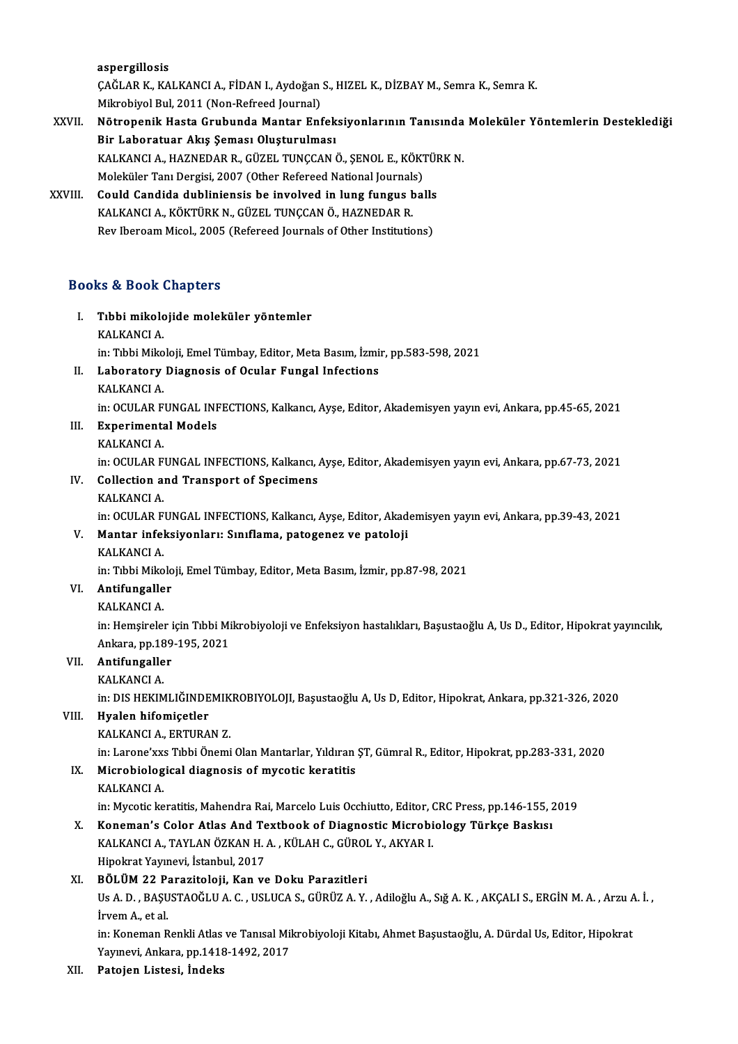aspergillosis aspergillosis<br>ÇAĞLAR K., KALKANCI A., FİDAN I., Aydoğan S., HIZEL K., DİZBAY M., Semra K., Semra K.<br>Milmebiyal Bul, 2011.(Non Befreed Journal) <mark>aspergillosis</mark><br>ÇAĞLAR K., KALKANCI A., FİDAN I., Aydoğan<br>Mikrobiyol Bul, 2011 (Non-Refreed Journal)<br>Nötroponik Hasta Caubunda Mantar Ent

### CAĞLAR K., KALKANCI A., FİDAN I., Aydoğan S., HIZEL K., DİZBAY M., Semra K., Semra K.<br>Mikrobiyol Bul, 2011 (Non-Refreed Journal)<br>XXVII. Nötropenik Hasta Grubunda Mantar Enfeksiyonlarının Tanısında Moleküler Yöntemlerin Mikrobiyol Bul, 2011 (Non-Refreed Journal)<br>Nötropenik Hasta Grubunda Mantar Enfek<br>Bir Laboratuar Akış Şeması Oluşturulması<br>KALKANCLA, HAZNEDAR R. CÜZEL TUNCCAN ( Nötropenik Hasta Grubunda Mantar Enfeksiyonlarının Tanısında<br>Bir Laboratuar Akış Şeması Oluşturulması<br>KALKANCI A., HAZNEDAR R., GÜZEL TUNÇCAN Ö., ŞENOL E., KÖKTÜRK N.<br>Malakülar Tanı Dergisi 2007 (Other Befereed National Ja Bir Laboratuar Akış Şeması Oluşturulması<br>KALKANCI A., HAZNEDAR R., GÜZEL TUNÇCAN Ö., ŞENOL E., KÖKI<br>Moleküler Tanı Dergisi, 2007 (Other Refereed National Journals)<br>Could Candida dubliniansis be involved in lung fungus bel KALKANCI A., HAZNEDAR R., GÜZEL TUNÇCAN Ö., ŞENOL E., KÖKTÜR<br>Moleküler Tanı Dergisi, 2007 (Other Refereed National Journals)<br>XXVIII. Could Candida dubliniensis be involved in lung fungus balls<br>KALKANCLA, KÖKTÜRK N. GÜZEL T

Moleküler Tanı Dergisi, 2007 (Other Refereed National Journals)<br>Could Candida dubliniensis be involved in lung fungus balls<br>KALKANCI A., KÖKTÜRK N., GÜZEL TUNCCAN Ö., HAZNEDAR R. Rev Iberoam Micol., 2005 (Refereed Journals of Other Institutions)

### Books&Book Chapters

- ooks & Book Chapters<br>I. Tıbbi mikolojide moleküler yöntemler<br>KALKANCLA ka & Book<br>Tibbi mikolo<br>KALKANCI A.<br>in: Tibbi Miko KALKANCI A.<br>in: Tıbbi Mikoloji, Emel Tümbay, Editor, Meta Basım, İzmir, pp.583-598, 2021 KALKANCI A.<br>in: Tıbbi Mikoloji, Emel Tümbay, Editor, Meta Basım, İzmi<br>II. Laboratory Diagnosis of Ocular Fungal Infections<br><sup>VALVANCI A</sup>
- in: Tıbbi Miko<br><mark>Laboratory</mark><br>KALKANCI A. Laboratory Diagnosis of Ocular Fungal Infections<br>KALKANCI A.<br>in: OCULAR FUNGAL INFECTIONS, Kalkancı, Ayşe, Editor, Akademisyen yayın evi, Ankara, pp.45-65, 2021<br>Experimental Models

- KALKANCI A.<br>in: OCULAR FUNGAL INF<br>III. Experimental Models<br>KALKANCI A.
- in: OCULAR F<br><mark>Experiment</mark><br>KALKANCI A.<br>in: OCULAR E in: OCULAR FUNGAL INFECTIONS, Kalkancı, Ayşe, Editor, Akademisyen yayın evi, Ankara, pp.67-73, 2021 KALKANCI A.<br>in: OCULAR FUNGAL INFECTIONS, Kalkancı, .<br>IV. Collection and Transport of Specimens
- in: OCULAR F<br>Collection a:<br>KALKANCI A. KALKANCI A.<br>in: OCULAR FUNGAL INFECTIONS, Kalkancı, Ayşe, Editor, Akademisyen yayın evi, Ankara, pp.39-43, 2021 KALKANCI A.<br>in: OCULAR FUNGAL INFECTIONS, Kalkancı, Ayşe, Editor, Akad<br>V. Mantar infeksiyonları: Sınıflama, patogenez ve patoloji<br>KALKANCLA

# in: OCULAR F<br><mark>Mantar infe</mark>l<br>KALKANCI A.<br>in: Tibbi Milco

Mantar infeksiyonları: Sınıflama, patogenez ve patoloji<br>KALKANCI A.<br>in: Tıbbi Mikoloji, Emel Tümbay, Editor, Meta Basım, İzmir, pp.87-98, 2021<br>Antifungaller

# KALKANCI A.<br>in: Tibbi Mikolo<br>VI. **Antifungaller** in: Tıbbi Miko<br><mark>Antifungalle</mark><br>KALKANCI A.<br>in: Hemsinele:

**Antifungaller**<br>KALKANCI A.<br>in: Hemşireler için Tıbbi Mikrobiyoloji ve Enfeksiyon hastalıkları, Başustaoğlu A, Us D., Editor, Hipokrat yayıncılık, KALKANCI A.<br>in: Hemşireler için Tıbbi Mi<br>Ankara, pp.189-195, 2021<br>Antifungallar Ankara, pp 189-195, 2021

### VII. Antifungaller<br>KALKANCI A.

Antifungaller<br>KALKANCI A.<br>in: DIS HEKIMLIĞINDEMIKROBIYOLOJI, Başustaoğlu A, Us D, Editor, Hipokrat, Ankara, pp.321-326, 2020<br>Hyalan hifomisetler in: DIS HEKIMLIĞINDEMIK<br><mark>Hyalen hifomiçetler</mark><br>KALKANCI A., ERTURAN Z.<br>in: Larene'rys Tibbi Önemi

### VIII. Hyalen hifomiçetler<br>KALKANCI A., ERTURAN Z.

Hyalen hifomiçetler<br>KALKANCI A., ERTURAN Z.<br>in: Larone'xxs Tıbbi Önemi Olan Mantarlar, Yıldıran ŞT, Gümral R., Editor, Hipokrat, pp.283-331, 2020<br>Misrobiologisal diasposis of mysotis koratitis.

## IX. Microbiological diagnosis of mycotic keratitis KALKANCI A. in: Larone'xx<br>Microbiolog<br>KALKANCI A.<br>in: Mycotiolo

Microbiological diagnosis of mycotic keratitis<br>KALKANCI A.<br>in: Mycotic keratitis, Mahendra Rai, Marcelo Luis Occhiutto, Editor, CRC Press, pp.146-155, 2019<br>Konoman's Color, Atlas And Toythook of Diagnostis Misrobiology Tür

X. Koneman's Color Atlas And Textbook of Diagnostic Microbiology Türkçe Baskısı<br>KALKANCI A., TAYLAN ÖZKAN H. A., KÜLAH C., GÜROL Y., AKYAR I. in: Mycotic keratitis, Mahendra Rai, Marcelo Luis Occhiutto, Editor, (<br>Koneman's Color Atlas And Textbook of Diagnostic Microbi<br>KALKANCI A., TAYLAN ÖZKAN H. A. , KÜLAH C., GÜROL Y., AKYAR I.<br>Hinelret Vernevi, İstanbul 2017 HipokratYayınevi, İstanbul,2017

### XI. BÖLÜM22 Parazitoloji, Kan ve Doku Parazitleri

Hipokrat Yayınevi, İstanbul, 2017<br>BÖLÜM 22 Parazitoloji, Kan ve Doku Parazitleri<br>Us A. D. , BAŞUSTAOĞLU A. C. , USLUCA S., GÜRÜZ A. Y. , Adiloğlu A., Sığ A. K. , AKÇALI S., ERGİN M. A. , Arzu A. İ. ,<br>İrvem A. et el **BÖLÜM 22 P:**<br>Us A. D. , BAŞU<br>İrvem A., et al.<br>in: Konoman B Us A. D. , BAŞUSTAOĞLU A. C. , USLUCA S., GÜRÜZ A. Y. , Adiloğlu A., Sığ A. K. , AKÇALI S., ERGİN M. A. , Arzu A<br>İrvem A., et al.<br>in: Koneman Renkli Atlas ve Tanısal Mikrobiyoloji Kitabı, Ahmet Başustaoğlu, A. Dürdal Us, E

İrvem A., et al.<br>in: Koneman Renkli Atlas ve Tanısal Mil<br>Yayınevi, Ankara, pp.1418-1492, 2017<br>Pateian Listesi, İndelts Yayınevi, Ankara, pp.1418-1492, 2017<br>XII. Patojen Listesi, İndeks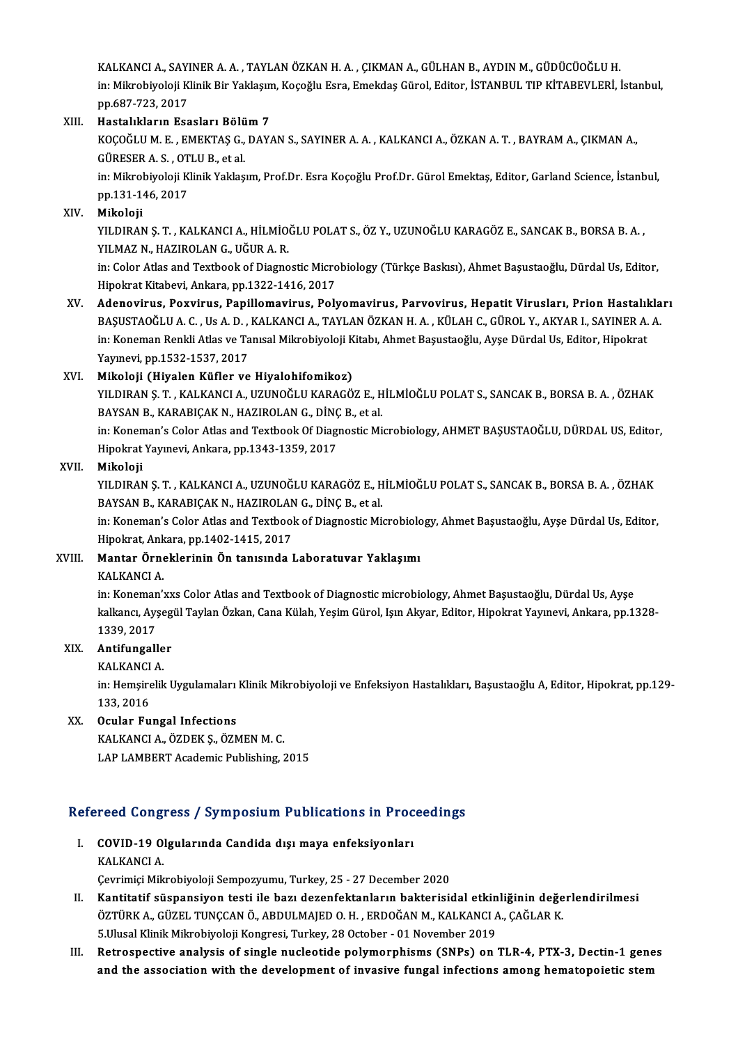KALKANCIA.,SAYINERA.A. ,TAYLANÖZKANH.A. ,ÇIKMANA.,GÜLHANB.,AYDINM.,GÜDÜCÜOĞLUH. KALKANCI A., SAYINER A. A. , TAYLAN ÖZKAN H. A. , ÇIKMAN A., GÜLHAN B., AYDIN M., GÜDÜCÜOĞLU H.<br>in: Mikrobiyoloji Klinik Bir Yaklaşım, Koçoğlu Esra, Emekdaş Gürol, Editor, İSTANBUL TIP KİTABEVLERİ, İstanbul, KALKANCI A., SAYI<br>in: Mikrobiyoloji K<br>pp.687-723, 2017<br>Hastalıkların Fas in: Mikrobiyoloji Klinik Bir Yaklaşın<br>pp.687-723, 2017<br>XIII. Hastalıkların Esasları Bölüm 7<br>*VOCOČIJI.N E EMEVTAS G DAV.* 

pp.687-723, 2017<br>Hastalıkların Esasları Bölüm 7<br>KOÇOĞLU M. E. , EMEKTAŞ G., DAYAN S., SAYINER A. A. , KALKANCI A., ÖZKAN A. T. , BAYRAM A., ÇIKMAN A.,<br>GÜRESER A. S., QTU U.R. et al Hastalıkların Esasları Bölü<br>KOÇOĞLU M. E. , EMEKTAŞ G.,<br>GÜRESER A. S. , OTLU B., et al.<br>in: Mikrobiyoloji Klinik Yaklaş KOÇOĞLU M. E. , EMEKTAŞ G., DAYAN S., SAYINER A. A. , KALKANCI A., ÖZKAN A. T. , BAYRAM A., ÇIKMAN A.,<br>GÜRESER A. S. , OTLU B., et al.<br>in: Mikrobiyoloji Klinik Yaklaşım, Prof.Dr. Esra Koçoğlu Prof.Dr. Gürol Emektaş, Editor

GÜRESER A. S. , OT<br>in: Mikrobiyoloji K<br>pp.131-146, 2017<br>Mikoloji pp.131-146, 2017<br>XIV. Mikoloji

pp.131-146, 2017<br>Mikoloji<br>YILDIRAN Ş. T. , KALKANCI A., HİLMİOĞLU POLAT S., ÖZ Y., UZUNOĞLU KARAGÖZ E., SANCAK B., BORSA B. A. ,<br>YILMAZ N. HAZIPOLAN G. HĞUR A. B Mikoloji<br>YILDIRAN Ş. T. , KALKANCI A., HİLMİO<br>YILMAZ N., HAZIROLAN G., UĞUR A. R.<br>in: Celer Atles and Taythook of Diagno YILDIRAN Ş. T. , KALKANCI A., HİLMİOĞLU POLAT S., ÖZ Y., UZUNOĞLU KARAGÖZ E., SANCAK B., BORSA B. A. ,<br>YILMAZ N., HAZIROLAN G., UĞUR A. R.<br>in: Color Atlas and Textbook of Diagnostic Microbiology (Türkçe Baskısı), Ahmet Baş

YILMAZ N., HAZIROLAN G., UĞUR A. R.<br>in: Color Atlas and Textbook of Diagnostic Microbiology (Türkçe Baskısı), Ahmet Başustaoğlu, Dürdal Us, Editor,<br>Hipokrat Kitabevi, Ankara, pp.1322-1416, 2017 in: Color Atlas and Textbook of Diagnostic Microbiology (Türkçe Baskısı), Ahmet Başustaoğlu, Dürdal Us, Editor,<br>Hipokrat Kitabevi, Ankara, pp.1322-1416, 2017<br>XV. Adenovirus, Poxvirus, Papillomavirus, Polyomavirus, Parvovir

Hipokrat Kitabevi, Ankara, pp.1322-1416, 2017<br><mark>Adenovirus, Poxvirus, Papillomavirus, Polyomavirus, Parvovirus, Hepatit Virusları, Prion Hastalıkla</mark><br>BAŞUSTAOĞLU A. C. , Us A. D. , KALKANCI A., TAYLAN ÖZKAN H. A. , KÜLAH C., Adenovirus, Poxvirus, Papillomavirus, Polyomavirus, Parvovirus, Hepatit Virusları, Prion Hastalıl<br>BAŞUSTAOĞLU A. C. , Us A. D. , KALKANCI A., TAYLAN ÖZKAN H. A. , KÜLAH C., GÜROL Y., AKYAR I., SAYINER A.<br>in: Koneman Renkli BAŞUSTAOĞLU A. C. , Us A. D. , KALKANCI A., TAYLAN ÖZKAN H. A. , KÜLAH C., GÜROL Y., AKYAR I., SAYINER A. A.<br>in: Koneman Renkli Atlas ve Tanısal Mikrobiyoloji Kitabı, Ahmet Başustaoğlu, Ayşe Dürdal Us, Editor, Hipokrat<br>Yay

### XVI. Mikoloji (Hiyalen Küfler ve Hiyalohifomikoz)

Yayınevi, pp.1532-1537, 2017<br>Mikoloji (Hiyalen Küfler ve Hiyalohifomikoz)<br>YILDIRAN Ş. T. , KALKANCI A., UZUNOĞLU KARAGÖZ E., HİLMİOĞLU POLAT S., SANCAK B., BORSA B. A. , ÖZHAK<br>RAXSAN R. KARARICAK N. HAZIROLAN Ç. DİNÇ R. şt Mikoloji (Hiyalen Küfler ve Hiyalohifomikoz)<br>YILDIRAN Ş. T. , KALKANCI A., UZUNOĞLU KARAGÖZ E., H<br>BAYSAN B., KARABIÇAK N., HAZIROLAN G., DİNÇ B., et al.<br>in: Kanaman'a Calar Atlas and Tauthaal: Of Diagnastis Mi YILDIRAN Ş. T. , KALKANCI A., UZUNOĞLU KARAGÖZ E., HİLMİOĞLU POLAT S., SANCAK B., BORSA B. A. , ÖZHAK<br>BAYSAN B., KARABIÇAK N., HAZIROLAN G., DİNÇ B., et al.<br>in: Koneman's Color Atlas and Textbook Of Diagnostic Microbiology

BAYSAN B., KARABIÇAK N., HAZIROLAN G., DİNÇ B., et al.<br>in: Koneman's Color Atlas and Textbook Of Diagnostic Microbiology, AHMET BAŞUSTAOĞLU, DÜRDAL US, Editor,<br>Hipokrat Yayınevi, Ankara, pp.1343-1359, 2017

### XVII. Mikoloji

Hipokrat Yayınevi, Ankara, pp.1343-1359, 2017<br>Mikoloji<br>YILDIRAN Ş. T. , KALKANCI A., UZUNOĞLU KARAGÖZ E., HİLMİOĞLU POLAT S., SANCAK B., BORSA B. A. , ÖZHAK<br>RAYSAN R. KARARICAK N. HAZIROLAN G. DİNC R. qt.al Mikoloji<br>YILDIRAN Ş. T. , KALKANCI A., UZUNOĞLU KARAGÖZ E., H<br>BAYSAN B., KARABIÇAK N., HAZIROLAN G., DİNÇ B., et al.<br>in: Koneman's Celer Atlas and Teythook of Diagnestic Mi YILDIRAN Ş. T. , KALKANCI A., UZUNOĞLU KARAGÖZ E., HİLMİOĞLU POLAT S., SANCAK B., BORSA B. A. , ÖZHAK<br>BAYSAN B., KARABIÇAK N., HAZIROLAN G., DİNÇ B., et al.<br>in: Koneman's Color Atlas and Textbook of Diagnostic Microbiology

BAYSAN B., KARABIÇAK N., HAZIROLAN G., DİNÇ B., et al.<br>in: Koneman's Color Atlas and Textbook of Diagnostic Microbiology, Ahmet Başustaoğlu, Ayşe Dürdal Us, Editor, Hipokrat, Ankara, pp.1402-1415, 2017

## XVIII. Mantar Örneklerinin Ön tanısında Laboratuvar Yaklaşımı<br>KALKANCI A.

Mantar Örneklerinin Ön tanısında Laboratuvar Yaklaşımı<br>KALKANCI A.<br>in: Koneman'xxs Color Atlas and Textbook of Diagnostic microbiology, Ahmet Başustaoğlu, Dürdal Us, Ayşe<br>kalkang, Ayşegül Teylan Özkan, Cana Külab Yesim Gür kalkancı, Ayşegül Taylan Özkan, Cana Külah, Yeşim Gürol, Işın Akyar, Editor, Hipokrat Yayınevi, Ankara, pp.1328-<br>1339, 2017 in: Koneman<br>kalkancı, Ayş<br>1339, 2017<br>Antifungall kalkancı, Ayşeg<br>1339, 2017<br>XIX. **Antifungaller**<br>EALEANCLA

# 1339, 2017<br>**Antifungalle<br>KALKANCI A.**<br>in: Hemsinelik

**Antifungaller**<br>KALKANCI A.<br>in: Hemşirelik Uygulamaları Klinik Mikrobiyoloji ve Enfeksiyon Hastalıkları, Başustaoğlu A, Editor, Hipokrat, pp.129-KALKANCI<br>in: Hemşire<br>133, 2016<br>Qaylar Ey

## XX. Ocular Fungal Infections

KALKANCI A., ÖZDEK Ş., ÖZMEN M. C.

LAP LAMBERT Academic Publishing, 2015

# LAP LAMBERT Academic Publishing, 2015<br>Refereed Congress / Symposium Publications in Proceedings

efereed Congress / Symposium Publications in Proc<br>I. COVID-19 Olgularında Candida dışı maya enfeksiyonları<br>KALKANCLA I. COVID-19 Olgularında Candida dışı maya enfeksiyonları<br>KALKANCIA.

Çevrimiçi Mikrobiyoloji Sempozyumu, Turkey, 25 - 27 December 2020

- KALKANCI A.<br>Çevrimiçi Mikrobiyoloji Sempozyumu, Turkey, 25 27 December 2020<br>II. Kantitatif süspansiyon testi ile bazı dezenfektanların bakterisidal etkinliğinin değerlendirilmesi<br>ÖZTÜPK A. ÇÜZEL TUNÇÇAN Ö. APDULMAJED O.U Çevrimiçi Mikrobiyoloji Sempozyumu, Turkey, 25 - 27 December 2020<br>**Kantitatif süspansiyon testi ile bazı dezenfektanların bakterisidal etkinliğinin değe**<br>ÖZTÜRK A., GÜZEL TUNÇCAN Ö., ABDULMAJED O. H. , ERDOĞAN M., KALKANCI ÖZTÜRK A., GÜZEL TUNÇCAN Ö., ABDULMAJED O. H. , ERDOĞAN M., KALKANCI A., ÇAĞLAR K.<br>5.Ulusal Klinik Mikrobiyoloji Kongresi, Turkey, 28 October - 01 November 2019 ÖZTÜRK A., GÜZEL TUNÇCAN Ö., ABDULMAJED O. H. , ERDOĞAN M., KALKANCI A., ÇAĞLAR K.<br>5.Ulusal Klinik Mikrobiyoloji Kongresi, Turkey, 28 October - 01 November 2019<br>III. Retrospective analysis of single nucleotide polymorphism
- 5.Ulusal Klinik Mikrobiyoloji Kongresi, Turkey, 28 October 01 November 2019<br>Retrospective analysis of single nucleotide polymorphisms (SNPs) on TLR-4, PTX-3, Dectin-1 gene<br>and the association with the development of inva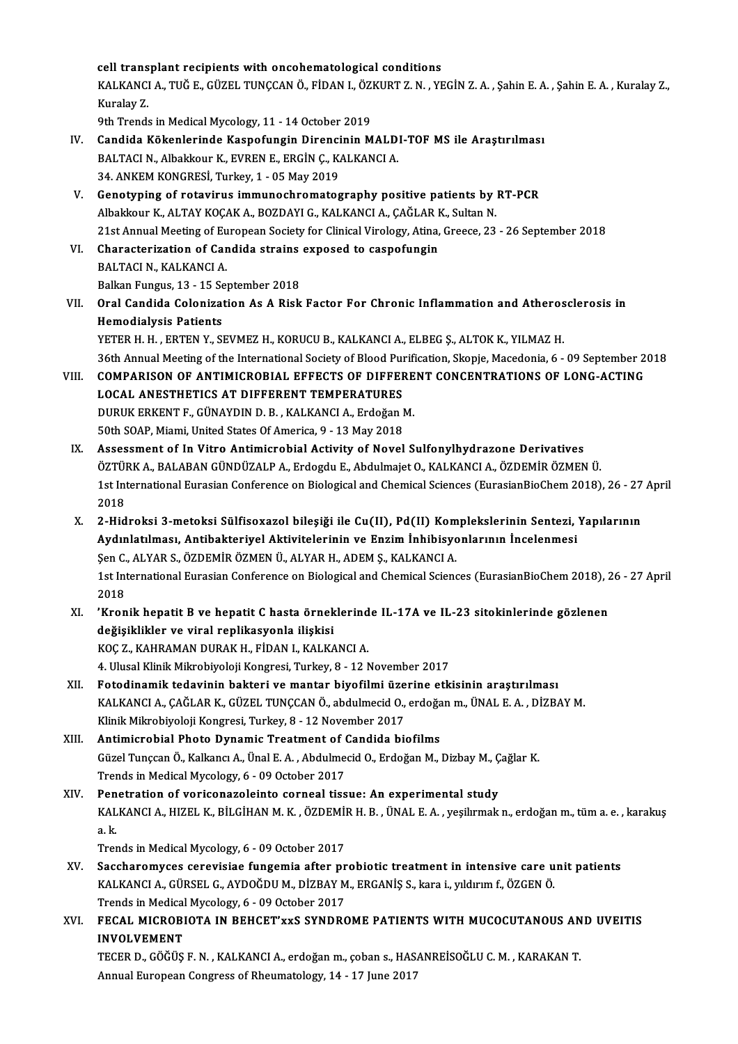cell transplant recipients with oncohematological conditions

cell transplant recipients with oncohematological conditions<br>KALKANCI A., TUĞ E., GÜZEL TUNÇCAN Ö., FİDAN I., ÖZKURT Z. N. , YEGİN Z. A. , Şahin E. A. , Şahin E. A. , Kuralay Z., cell trans<br>KALKANCI<br>Kuralay Z.<br><sup>Oth Trond</sup> KALKANCI A., TUĞ E., GÜZEL TUNÇCAN Ö., FİDAN I., ÖZ!<br>Kuralay Z.<br>9th Trends in Medical Mycology, 11 - 14 October 2019<br>Candida Kökaplarında Kaspafungin Diranginin M Kuralay Z.<br>9th Trends in Medical Mycology, 11 - 14 October 2019<br>IV. Candida Kökenlerinde Kaspofungin Direncinin MALDI-TOF MS ile Araştırılması

- 9th Trends in Medical Mycology, 11 14 October 2019<br>Candida Kökenlerinde Kaspofungin Direncinin MALD<br>BALTACI N., Albakkour K., EVREN E., ERGİN Ç., KALKANCI A.<br>24 ANKEM KONCRESİ Turkov 1 05 May 2019 Candida Kökenlerinde Kaspofungin Direnci<br>BALTACI N., Albakkour K., EVREN E., ERGİN Ç., K.<br>34. ANKEM KONGRESİ, Turkey, 1 - 05 May 2019<br>Constuning of retavinus immunoshramatas
- V. Genotyping of rotavirus immunochromatography positive patients by RT-PCR 34. ANKEM KONGRESİ, Turkey, 1 - 05 May 2019<br>Genotyping of rotavirus immunochromatography positive patients by<br>Albakkour K., ALTAY KOÇAK A., BOZDAYI G., KALKANCI A., ÇAĞLAR K., Sultan N.<br>21st Annual Meeting of European Soci Genotyping of rotavirus immunochromatography positive patients by RT-PCR<br>Albakkour K., ALTAY KOÇAK A., BOZDAYI G., KALKANCI A., ÇAĞLAR K., Sultan N.<br>21st Annual Meeting of European Society for Clinical Virology, Atina, Gre Albakkour K., ALTAY KOÇAK A., BOZDAYI G., KALKANCI A., ÇAĞLAR I<br>21st Annual Meeting of European Society for Clinical Virology, Atina,<br>VI. Characterization of Candida strains exposed to caspofungin<br>PALTACI N. KALKANCI A
- 21st Annual Meeting of Eu<br>Characterization of Car<br>BALTACI N., KALKANCI A.<br>Pallan Eungus 12, 15 Sa VI. Characterization of Candida strains exposed to caspofungin<br>BALTACI N., KALKANCI A.<br>Balkan Fungus, 13 - 15 September 2018
- BALTACI N., KALKANCI A.<br>Balkan Fungus, 13 15 September 2018<br>VII. Oral Candida Colonization As A Risk Factor For Chronic Inflammation and Atherosclerosis in<br>Hemedialysis Betients Balkan Fungus, 13 - 15 Se<br>Oral Candida Colonizat<br>Hemodialysis Patients<br>VETED H. H. EDTEN V. SI Oral Candida Colonization As A Risk Factor For Chronic Inflammation and Atheros<br>Hemodialysis Patients<br>YETER H. H. , ERTEN Y., SEVMEZ H., KORUCU B., KALKANCI A., ELBEG Ş., ALTOK K., YILMAZ H.<br>26th Annual Meeting of the Inte Hemodialysis Patients<br>YETER H. H. , ERTEN Y., SEVMEZ H., KORUCU B., KALKANCI A., ELBEG Ş., ALTOK K., YILMAZ H.<br>36th Annual Meeting of the International Society of Blood Purification, Skopje, Macedonia, 6 - 09 September 201

YETER H. H. , ERTEN Y., SEVMEZ H., KORUCU B., KALKANCI A., ELBEG Ş., ALTOK K., YILMAZ H.<br>36th Annual Meeting of the International Society of Blood Purification, Skopje, Macedonia, 6 - 09 September 2<br>10II. COMPARISON OF 36th Annual Meeting of the International Society of Blood Pu<br>COMPARISON OF ANTIMICROBIAL EFFECTS OF DIFFER<br>LOCAL ANESTHETICS AT DIFFERENT TEMPERATURES COMPARISON OF ANTIMICROBIAL EFFECTS OF DIFFERE<br>LOCAL ANESTHETICS AT DIFFERENT TEMPERATURES<br>DURUK ERKENT F., GÜNAYDIN D. B. , KALKANCI A., Erdoğan M.<br>E0th SOAP Miami United States Of America Q. 13 May 2019 LOCAL ANESTHETICS AT DIFFERENT TEMPERATURES<br>DURUK ERKENT F., GÜNAYDIN D. B. , KALKANCI A., Erdoğan I<br>50th SOAP, Miami, United States Of America, 9 - 13 May 2018<br>Assessment of In Vitre Antimisrabial Astivity of Nevel

- 50th SOAP, Miami, United States Of America, 9 13 May 2018<br>IX. Assessment of In Vitro Antimicrobial Activity of Novel Sulfonylhydrazone Derivatives 50th SOAP, Miami, United States Of America, 9 - 13 May 2018<br>Assessment of In Vitro Antimicrobial Activity of Novel Sulfonylhydrazone Derivatives<br>ÖZTÜRK A., BALABAN GÜNDÜZALP A., Erdogdu E., Abdulmajet O., KALKANCI A., ÖZDE Assessment of In Vitro Antimicrobial Activity of Novel Sulfonylhydrazone Derivatives<br>ÖZTÜRK A., BALABAN GÜNDÜZALP A., Erdogdu E., Abdulmajet O., KALKANCI A., ÖZDEMİR ÖZMEN Ü.<br>1st International Eurasian Conference on Biolog ÖZTÜI<br>1st Int<br>2018<br>2. Hid 1st International Eurasian Conference on Biological and Chemical Sciences (EurasianBioChem 2018), 26 - 27<br>2018<br>X. 2-Hidroksi 3-metoksi Sülfisoxazol bileşiği ile Cu(II), Pd(II) Komplekslerinin Sentezi, Yapılarının<br>Ardunlatı
- 2018<br>2-Hidroksi 3-metoksi Sülfisoxazol bileşiği ile Cu(II), Pd(II) Komplekslerinin Sentezi,<br>Aydınlatılması, Antibakteriyel Aktivitelerinin ve Enzim İnhibisyonlarının İncelenmesi<br>Sen G. ALVAR S. ÖZDEMİR ÖZMEN Ü. ALVAR H. AD 2-Hidroksi 3-metoksi Sülfisoxazol bileşiği ile Cu(II), Pd(II) Kom<br>Aydınlatılması, Antibakteriyel Aktivitelerinin ve Enzim İnhibisyo<br>Şen C., ALYAR S., ÖZDEMİR ÖZMEN Ü., ALYAR H., ADEM Ş., KALKANCI A.<br>1st International Eures Aydınlatılması, Antibakteriyel Aktivitelerinin ve Enzim İnhibisyonlarının İncelenmesi<br>Şen C., ALYAR S., ÖZDEMİR ÖZMEN Ü., ALYAR H., ADEM Ş., KALKANCI A.<br>1st International Eurasian Conference on Biological and Chemical Scie Sen C.<br>1st Int<br>2018<br>'Kren 1st International Eurasian Conference on Biological and Chemical Sciences (EurasianBioChem 2018), 2<br>2018<br>XI. YKronik hepatit B ve hepatit C hasta örneklerinde IL-17A ve IL-23 sitokinlerinde gözlenen<br>doğullikler ve viral re
- 2018<br>'Kronik hepatit B ve hepatit C hasta örneklerind<br>değişiklikler ve viral replikasyonla ilişkisi<br>KOC Z., KAHRAMAN DURAK H., FİDAN I., KALKANCI A. XI. 'Kronik hepatit B ve hepatit C hasta örneklerinde IL-17A ve IL-23 sitokinlerinde gözlenen

4. Ulusal Klinik Mikrobiyoloji Kongresi, Turkey, 8 - 12 November 2017

- KOÇ Z., KAHRAMAN DURAK H., FİDAN I., KALKANCI A.<br>4. Ulusal Klinik Mikrobiyoloji Kongresi, Turkey, 8 12 November 2017<br>XII. Fotodinamik tedavinin bakteri ve mantar biyofilmi üzerine etkisinin araştırılması<br>KALKANCLA, G 4. Ulusal Klinik Mikrobiyoloji Kongresi, Turkey, 8 - 12 November 2017<br>Fotodinamik tedavinin bakteri ve mantar biyofilmi üzerine etkisinin araştırılması<br>KALKANCI A., ÇAĞLAR K., GÜZEL TUNÇCAN Ö., abdulmecid O., erdoğan m., Ü Fotodinamik tedavinin bakteri ve mantar biyofilmi üze<br>KALKANCI A., ÇAĞLAR K., GÜZEL TUNÇCAN Ö., abdulmecid O.,<br>Klinik Mikrobiyoloji Kongresi, Turkey, 8 - 12 November 2017<br>Antimisrobial Photo Dunamis Treatment of Candida bi KALKANCI A., ÇAĞLAR K., GÜZEL TUNÇCAN Ö., abdulmecid O., erdoğa<br>Klinik Mikrobiyoloji Kongresi, Turkey, 8 - 12 November 2017<br>XIII. Antimicrobial Photo Dynamic Treatment of Candida biofilms<br>Güzel Tunccan Ö. Kalkancı A. Ünal
- Klinik Mikrobiyoloji Kongresi, Turkey, 8 12 November 2017<br>**Antimicrobial Photo Dynamic Treatment of Candida biofilms**<br>Güzel Tunçcan Ö., Kalkancı A., Ünal E. A. , Abdulmecid O., Erdoğan M., Dizbay M., Çağlar K.<br>Trends in Antimicrobial Photo Dynamic Treatment of (<br>Güzel Tunçcan Ö., Kalkancı A., Ünal E. A. , Abdulme<br>Trends in Medical Mycology, 6 - 09 October 2017<br>Penatration of vorisonaraleinte serneal tiss Güzel Tunçcan Ö., Kalkancı A., Ünal E. A. , Abdulmecid O., Erdoğan M., Dizbay M., Ç<br>Trends in Medical Mycology, 6 - 09 October 2017<br>XIV. Penetration of voriconazoleinto corneal tissue: An experimental study<br>KALKANCLA, HIZE
- Trends in Medical Mycology, 6 09 October 2017<br>Penetration of voriconazoleinto corneal tissue: An experimental study<br>KALKANCI A., HIZEL K., BİLGİHAN M. K. , ÖZDEMİR H. B. , ÜNAL E. A. , yeşilırmak n., erdoğan m., tüm a. e Pen<br>KAL<br>a.k. KALKANCI A., HIZEL K., BİLGİHAN M. K. , ÖZDEMİ<br>a. k.<br>Trends in Medical Mycology, 6 - 09 October 2017<br>Sasabaramusas, sarayisias, fungamia aftar nr

- a.k.<br>Trends in Medical Mycology, 6 09 October 2017<br>XV. Saccharomyces cerevisiae fungemia after probiotic treatment in intensive care unit patients<br>KALKANCLA, CÜRSEL C. AVDOČDUM, DİZRAYM, ERCANİS S. kara i, yıldırım f. Trends in Medical Mycology, 6 - 09 October 2017<br>Saccharomyces cerevisiae fungemia after probiotic treatment in intensive care u<br>KALKANCI A., GÜRSEL G., AYDOĞDU M., DİZBAY M., ERGANİŞ S., kara i., yıldırım f., ÖZGEN Ö.<br>Tren Saccharomyces cerevisiae fungemia after pr<br>KALKANCI A., GÜRSEL G., AYDOĞDU M., DİZBAY M<br>Trends in Medical Mycology, 6 - 09 October 2017<br>EECAL MICROBIOTA IN BEHCET'uvS SYNDRO KALKANCI A., GÜRSEL G., AYDOĞDU M., DİZBAY M., ERGANİŞ S., kara i., yıldırım f., ÖZGEN Ö.<br>Trends in Medical Mycology, 6 - 09 October 2017<br>XVI. FECAL MICROBIOTA IN BEHCET'xxS SYNDROME PATIENTS WITH MUCOCUTANOUS AND UVEI
- Trends in Medical<br>FECAL MICROBI<br>INVOLVEMENT<br>TECER D. CÖČÜS FECAL MICROBIOTA IN BEHCET'xxS SYNDROME PATIENTS WITH MUCOCUTANOUS AN<br>INVOLVEMENT<br>TECER D., GÖĞÜŞ F. N. , KALKANCI A., erdoğan m., çoban s., HASANREİSOĞLU C. M. , KARAKAN T.<br>Annual European Congress of Phoumatalogu 14, 17

INVOLVEMENT<br>TECER D., GÖĞÜŞ F. N. , KALKANCI A., erdoğan m., çoban s., HASANREİSOĞLU C. M. , KARAKAN T.<br>Annual European Congress of Rheumatology, 14 - 17 June 2017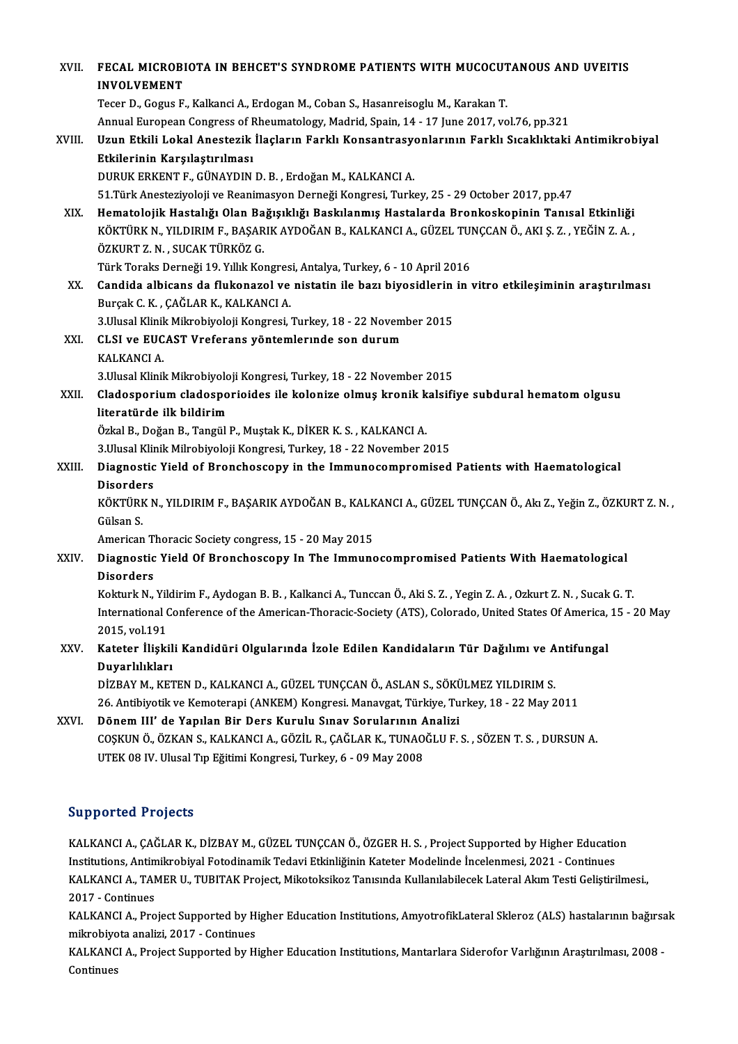| XVII.  | FECAL MICROBIOTA IN BEHCET'S SYNDROME PATIENTS WITH MUCOCUTANOUS AND UVEITIS<br><b>INVOLVEMENT</b>                                                                                                                                     |
|--------|----------------------------------------------------------------------------------------------------------------------------------------------------------------------------------------------------------------------------------------|
|        | Tecer D., Gogus F., Kalkanci A., Erdogan M., Coban S., Hasanreisoglu M., Karakan T.                                                                                                                                                    |
|        | Annual European Congress of Rheumatology, Madrid, Spain, 14 - 17 June 2017, vol.76, pp.321                                                                                                                                             |
| XVIII. | Uzun Etkili Lokal Anestezik İlaçların Farklı Konsantrasyonlarının Farklı Sıcaklıktaki Antimikrobiyal<br>Etkilerinin Karşılaştırılması                                                                                                  |
|        | DURUK ERKENT F., GÜNAYDIN D. B., Erdoğan M., KALKANCI A.                                                                                                                                                                               |
|        | 51. Türk Anesteziyoloji ve Reanimasyon Derneği Kongresi, Turkey, 25 - 29 October 2017, pp.47                                                                                                                                           |
|        |                                                                                                                                                                                                                                        |
| XIX.   | Hematolojik Hastalığı Olan Bağışıklığı Baskılanmış Hastalarda Bronkoskopinin Tanısal Etkinliği<br>KÖKTÜRK N., YILDIRIM F., BAŞARIK AYDOĞAN B., KALKANCI A., GÜZEL TUNÇCAN Ö., AKI Ş. Z., YEĞİN Z. A.,<br>ÖZKURT Z. N., SUCAK TÜRKÖZ G. |
|        | Türk Toraks Derneği 19. Yıllık Kongresi, Antalya, Turkey, 6 - 10 April 2016                                                                                                                                                            |
| XX.    | Candida albicans da flukonazol ve nistatin ile bazı biyosidlerin in vitro etkileşiminin araştırılması                                                                                                                                  |
|        | Burçak C. K., ÇAĞLAR K., KALKANCI A.                                                                                                                                                                                                   |
|        | 3. Ulusal Klinik Mikrobiyoloji Kongresi, Turkey, 18 - 22 November 2015                                                                                                                                                                 |
| XXI.   | CLSI ve EUCAST Vreferans yöntemlerinde son durum                                                                                                                                                                                       |
|        | KALKANCI A.                                                                                                                                                                                                                            |
|        | 3. Ulusal Klinik Mikrobiyoloji Kongresi, Turkey, 18 - 22 November 2015                                                                                                                                                                 |
| XXII.  | Cladosporium cladosporioides ile kolonize olmuş kronik kalsifiye subdural hematom olgusu                                                                                                                                               |
|        | literatürde ilk bildirim                                                                                                                                                                                                               |
|        | Özkal B., Doğan B., Tangül P., Muştak K., DİKER K. S., KALKANCI A.                                                                                                                                                                     |
|        | 3. Ulusal Klinik Milrobiyoloji Kongresi, Turkey, 18 - 22 November 2015                                                                                                                                                                 |
| XXIII. | Diagnostic Yield of Bronchoscopy in the Immunocompromised Patients with Haematological<br><b>Disorders</b>                                                                                                                             |
|        | KÖKTÜRK N., YILDIRIM F., BAŞARIK AYDOĞAN B., KALKANCI A., GÜZEL TUNÇCAN Ö., Akı Z., Yeğin Z., ÖZKURT Z. N.,<br>Gülsan S                                                                                                                |
|        | American Thoracic Society congress, 15 - 20 May 2015                                                                                                                                                                                   |
| XXIV.  | Diagnostic Yield Of Bronchoscopy In The Immunocompromised Patients With Haematological                                                                                                                                                 |
|        | <b>Disorders</b>                                                                                                                                                                                                                       |
|        | Kokturk N., Yildirim F., Aydogan B. B., Kalkanci A., Tunccan Ö., Aki S. Z., Yegin Z. A., Ozkurt Z. N., Sucak G. T.                                                                                                                     |
|        | International Conference of the American-Thoracic-Society (ATS), Colorado, United States Of America, 15 - 20 May                                                                                                                       |
|        | 2015, vol 191                                                                                                                                                                                                                          |
| XXV.   | Kateter İlişkili Kandidüri Olgularında İzole Edilen Kandidaların Tür Dağılımı ve Antifungal                                                                                                                                            |
|        | Duyarlılıkları                                                                                                                                                                                                                         |
|        | DİZBAY M., KETEN D., KALKANCI A., GÜZEL TUNÇCAN Ö., ASLAN S., SÖKÜLMEZ YILDIRIM S.                                                                                                                                                     |
|        | 26. Antibiyotik ve Kemoterapi (ANKEM) Kongresi. Manavgat, Türkiye, Turkey, 18 - 22 May 2011                                                                                                                                            |
| XXVI.  | Dönem III' de Yapılan Bir Ders Kurulu Sınav Sorularının Analizi                                                                                                                                                                        |
|        | COȘKUN Ö., ÖZKAN S., KALKANCI A., GÖZİL R., ÇAĞLAR K., TUNAOĞLU F. S. , SÖZEN T. S. , DURSUN A.                                                                                                                                        |
|        | UTEK 08 IV. Ulusal Tıp Eğitimi Kongresi, Turkey, 6 - 09 May 2008                                                                                                                                                                       |
|        |                                                                                                                                                                                                                                        |

### Supported Projects

Supported Projects<br>KALKANCI A., ÇAĞLAR K., DİZBAY M., GÜZEL TUNÇCAN Ö., ÖZGER H. S. , Project Supported by Higher Education<br>Institutions, Antimilizabiyal Estadinamik Tedavi Etkinliğinin Katatar Madelinde İnselanmasi, 2021, Bupporteur I 1 0 jeces<br>Institutions, Antimikrobiyal Fotodinamik Tedavi Etkinliğinin Kateter Modelinde İncelenmesi, 2021 - Continues<br>KALKANCLA, TAMER U. TURITAK Prejest Mikateksikar Tanısında Kullanılabilesek Lateral Alam T KALKANCI A., ÇAĞLAR K., DİZBAY M., GÜZEL TUNÇCAN Ö., ÖZGER H. S. , Project Supported by Higher Education<br>Institutions, Antimikrobiyal Fotodinamik Tedavi Etkinliğinin Kateter Modelinde İncelenmesi, 2021 - Continues<br>KALKANCI Institutions, Antin<br>KALKANCI A., TAN<br>2017 - Continues<br>KALKANCLA, Pro KALKANCI A., TAMER U., TUBITAK Project, Mikotoksikoz Tanısında Kullanılabilecek Lateral Akım Testi Geliştirilmesi.,<br>2017 - Continues<br>KALKANCI A., Project Supported by Higher Education Institutions, AmyotrofikLateral Sklero

2017 - Continues<br>KALKANCI A., Project Supported by H.<br>mikrobiyota analizi, 2017 - Continues<br>KALKANCLA - Project Supported by H. KALKANCI A., Project Supported by Higher Education Institutions, AmyotrofikLateral Skleroz (ALS) hastalarının bağırsa<br>mikrobiyota analizi, 2017 - Continues<br>KALKANCI A., Project Supported by Higher Education Institutions, M

mikrobiyota analizi, 2017 - Continues<br>KALKANCI A., Project Supported by Higher Education Institutions, Mantarlara Siderofor Varlığının Araştırılması, 2008 -<br>Continues